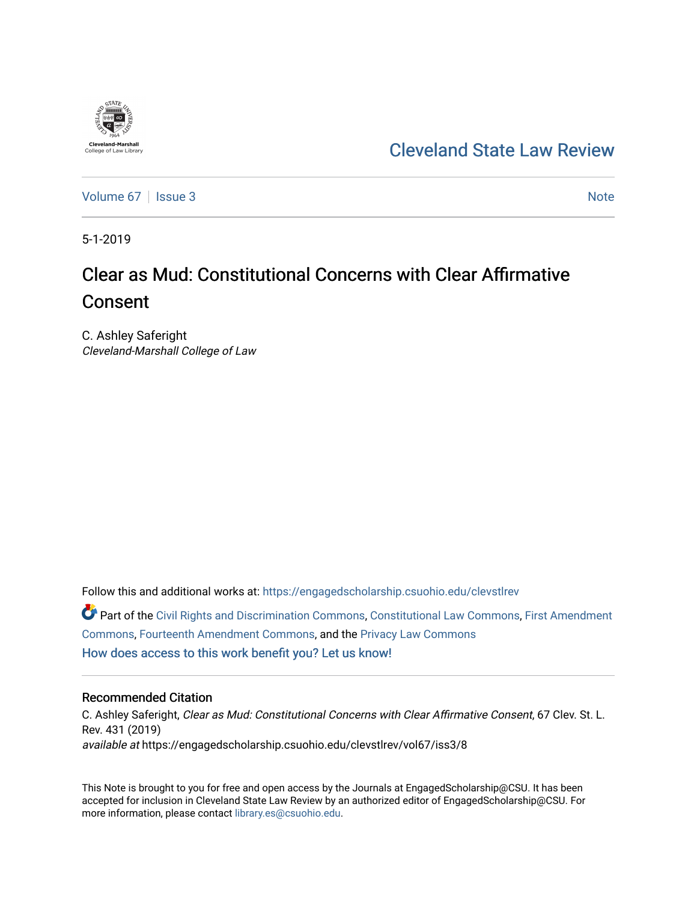# **Cleveland-Marshall**<br>College of Law Libra

## [Cleveland State Law Review](https://engagedscholarship.csuohio.edu/clevstlrev)

[Volume 67](https://engagedscholarship.csuohio.edu/clevstlrev/vol67) | [Issue 3](https://engagedscholarship.csuohio.edu/clevstlrev/vol67/iss3) Note

5-1-2019

## Clear as Mud: Constitutional Concerns with Clear Affirmative Consent

C. Ashley Saferight Cleveland-Marshall College of Law

Follow this and additional works at: [https://engagedscholarship.csuohio.edu/clevstlrev](https://engagedscholarship.csuohio.edu/clevstlrev?utm_source=engagedscholarship.csuohio.edu%2Fclevstlrev%2Fvol67%2Fiss3%2F8&utm_medium=PDF&utm_campaign=PDFCoverPages)

Part of the [Civil Rights and Discrimination Commons,](http://network.bepress.com/hgg/discipline/585?utm_source=engagedscholarship.csuohio.edu%2Fclevstlrev%2Fvol67%2Fiss3%2F8&utm_medium=PDF&utm_campaign=PDFCoverPages) [Constitutional Law Commons,](http://network.bepress.com/hgg/discipline/589?utm_source=engagedscholarship.csuohio.edu%2Fclevstlrev%2Fvol67%2Fiss3%2F8&utm_medium=PDF&utm_campaign=PDFCoverPages) [First Amendment](http://network.bepress.com/hgg/discipline/1115?utm_source=engagedscholarship.csuohio.edu%2Fclevstlrev%2Fvol67%2Fiss3%2F8&utm_medium=PDF&utm_campaign=PDFCoverPages) [Commons](http://network.bepress.com/hgg/discipline/1115?utm_source=engagedscholarship.csuohio.edu%2Fclevstlrev%2Fvol67%2Fiss3%2F8&utm_medium=PDF&utm_campaign=PDFCoverPages), [Fourteenth Amendment Commons,](http://network.bepress.com/hgg/discipline/1116?utm_source=engagedscholarship.csuohio.edu%2Fclevstlrev%2Fvol67%2Fiss3%2F8&utm_medium=PDF&utm_campaign=PDFCoverPages) and the [Privacy Law Commons](http://network.bepress.com/hgg/discipline/1234?utm_source=engagedscholarship.csuohio.edu%2Fclevstlrev%2Fvol67%2Fiss3%2F8&utm_medium=PDF&utm_campaign=PDFCoverPages) [How does access to this work benefit you? Let us know!](http://library.csuohio.edu/engaged/)

#### Recommended Citation

C. Ashley Saferight, Clear as Mud: Constitutional Concerns with Clear Affirmative Consent, 67 Clev. St. L. Rev. 431 (2019) available at https://engagedscholarship.csuohio.edu/clevstlrev/vol67/iss3/8

This Note is brought to you for free and open access by the Journals at EngagedScholarship@CSU. It has been accepted for inclusion in Cleveland State Law Review by an authorized editor of EngagedScholarship@CSU. For more information, please contact [library.es@csuohio.edu](mailto:library.es@csuohio.edu).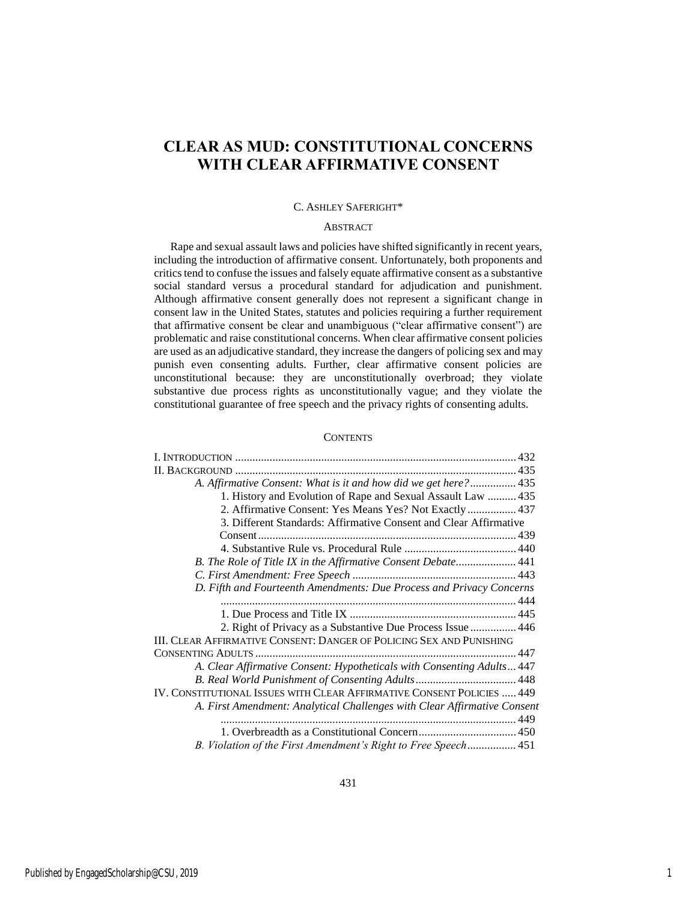### **CLEAR AS MUD: CONSTITUTIONAL CONCERNS WITH CLEAR AFFIRMATIVE CONSENT**

#### C. ASHLEY SAFERIGHT\*

#### ABSTRACT

Rape and sexual assault laws and policies have shifted significantly in recent years, including the introduction of affirmative consent. Unfortunately, both proponents and critics tend to confuse the issues and falsely equate affirmative consent as a substantive social standard versus a procedural standard for adjudication and punishment. Although affirmative consent generally does not represent a significant change in consent law in the United States, statutes and policies requiring a further requirement that affirmative consent be clear and unambiguous ("clear affirmative consent") are problematic and raise constitutional concerns. When clear affirmative consent policies are used as an adjudicative standard, they increase the dangers of policing sex and may punish even consenting adults. Further, clear affirmative consent policies are unconstitutional because: they are unconstitutionally overbroad; they violate substantive due process rights as unconstitutionally vague; and they violate the constitutional guarantee of free speech and the privacy rights of consenting adults.

#### **CONTENTS**

| A. Affirmative Consent: What is it and how did we get here? 435          |  |
|--------------------------------------------------------------------------|--|
| 1. History and Evolution of Rape and Sexual Assault Law  435             |  |
| 2. Affirmative Consent: Yes Means Yes? Not Exactly 437                   |  |
| 3. Different Standards: Affirmative Consent and Clear Affirmative        |  |
|                                                                          |  |
|                                                                          |  |
| B. The Role of Title IX in the Affirmative Consent Debate 441            |  |
|                                                                          |  |
| D. Fifth and Fourteenth Amendments: Due Process and Privacy Concerns     |  |
|                                                                          |  |
|                                                                          |  |
| 2. Right of Privacy as a Substantive Due Process Issue  446              |  |
| III. CLEAR AFFIRMATIVE CONSENT: DANGER OF POLICING SEX AND PUNISHING     |  |
|                                                                          |  |
| A. Clear Affirmative Consent: Hypotheticals with Consenting Adults 447   |  |
|                                                                          |  |
| IV. CONSTITUTIONAL ISSUES WITH CLEAR AFFIRMATIVE CONSENT POLICIES  449   |  |
| A. First Amendment: Analytical Challenges with Clear Affirmative Consent |  |
|                                                                          |  |
|                                                                          |  |
| B. Violation of the First Amendment's Right to Free Speech 451           |  |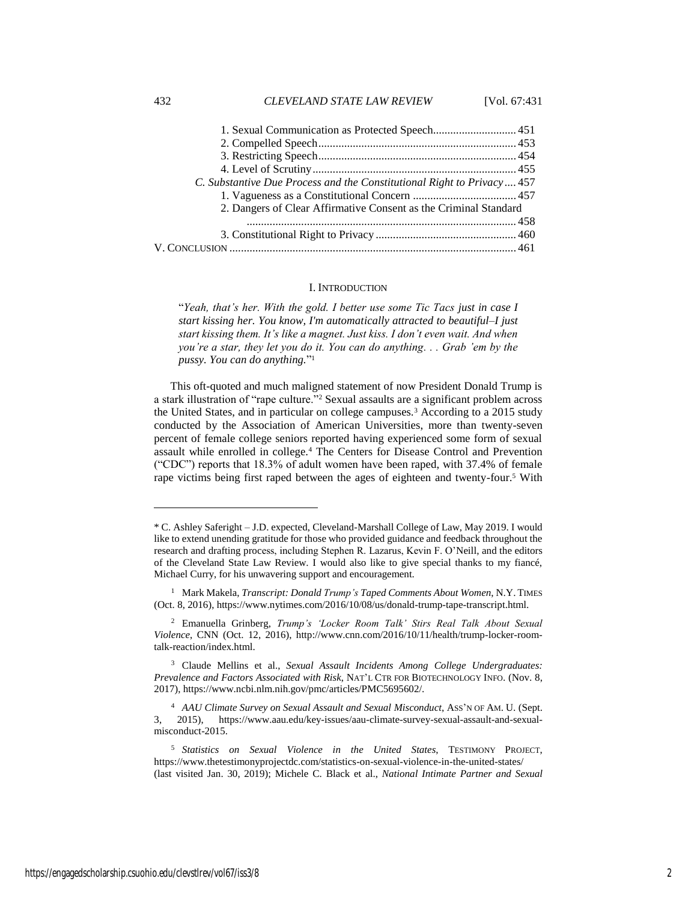| 1. Sexual Communication as Protected Speech 451                        |  |
|------------------------------------------------------------------------|--|
|                                                                        |  |
|                                                                        |  |
|                                                                        |  |
| C. Substantive Due Process and the Constitutional Right to Privacy 457 |  |
|                                                                        |  |
| 2. Dangers of Clear Affirmative Consent as the Criminal Standard       |  |
|                                                                        |  |
|                                                                        |  |
|                                                                        |  |
|                                                                        |  |

#### I. INTRODUCTION

"*Yeah, that's her. With the gold. I better use some Tic Tacs just in case I start kissing her. You know, I'm automatically attracted to beautiful–I just start kissing them. It's like a magnet. Just kiss. I don't even wait. And when you're a star, they let you do it. You can do anything. . . Grab 'em by the pussy. You can do anything.*" 1

This oft-quoted and much maligned statement of now President Donald Trump is a stark illustration of "rape culture."<sup>2</sup> Sexual assaults are a significant problem across the United States, and in particular on college campuses.<sup>3</sup> According to a 2015 study conducted by the Association of American Universities, more than twenty-seven percent of female college seniors reported having experienced some form of sexual assault while enrolled in college.<sup>4</sup> The Centers for Disease Control and Prevention ("CDC") reports that 18.3% of adult women have been raped, with 37.4% of female rape victims being first raped between the ages of eighteen and twenty-four.<sup>5</sup> With

 $\overline{a}$ 

<sup>\*</sup> C. Ashley Saferight – J.D. expected, Cleveland-Marshall College of Law, May 2019. I would like to extend unending gratitude for those who provided guidance and feedback throughout the research and drafting process, including Stephen R. Lazarus, Kevin F. O'Neill, and the editors of the Cleveland State Law Review. I would also like to give special thanks to my fiancé, Michael Curry, for his unwavering support and encouragement.

<sup>1</sup> Mark Makela, *Transcript: Donald Trump's Taped Comments About Women*, N.Y. TIMES (Oct. 8, 2016), https://www.nytimes.com/2016/10/08/us/donald-trump-tape-transcript.html.

<sup>2</sup> Emanuella Grinberg, *Trump's 'Locker Room Talk' Stirs Real Talk About Sexual Violence*, CNN (Oct. 12, 2016), http://www.cnn.com/2016/10/11/health/trump-locker-roomtalk-reaction/index.html.

<sup>3</sup> Claude Mellins et al., *Sexual Assault Incidents Among College Undergraduates: Prevalence and Factors Associated with Risk*, NAT'L CTR FOR BIOTECHNOLOGY INFO. (Nov. 8, 2017), https://www.ncbi.nlm.nih.gov/pmc/articles/PMC5695602/.

<sup>4</sup> *AAU Climate Survey on Sexual Assault and Sexual Misconduct*, ASS'N OF AM. U. (Sept. 3, 2015), https://www.aau.edu/key-issues/aau-climate-survey-sexual-assault-and-sexualmisconduct-2015.

<sup>5</sup> *Statistics on Sexual Violence in the United States*, TESTIMONY PROJECT, <https://www.thetestimonyprojectdc.com/statistics-on-sexual-violence-in-the-united-states/> (last visited Jan. 30, 2019); Michele C. Black et al., *National Intimate Partner and Sexual*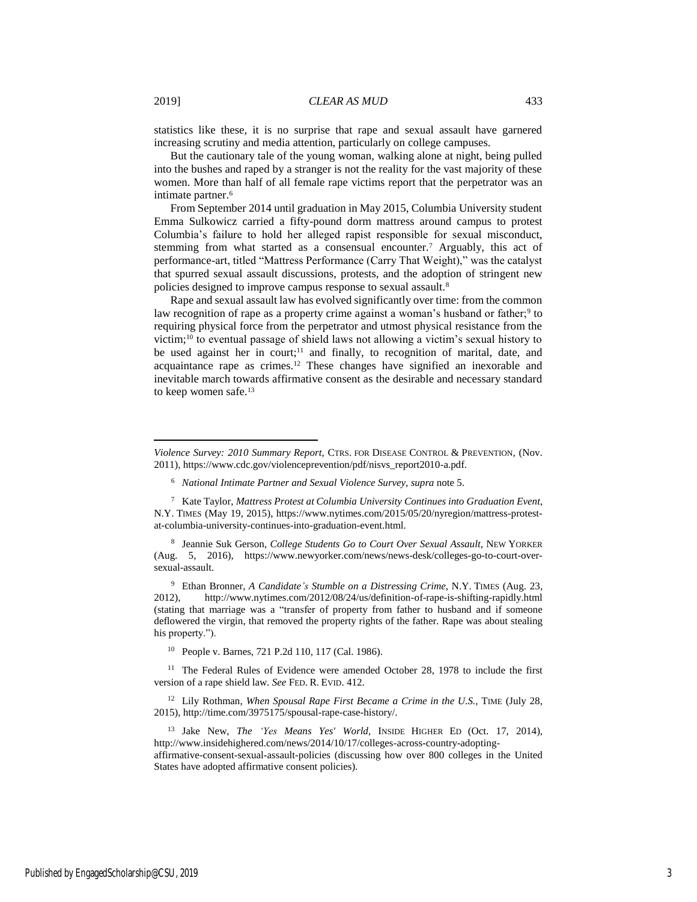$\overline{\phantom{a}}$ 

statistics like these, it is no surprise that rape and sexual assault have garnered increasing scrutiny and media attention, particularly on college campuses.

But the cautionary tale of the young woman, walking alone at night, being pulled into the bushes and raped by a stranger is not the reality for the vast majority of these women. More than half of all female rape victims report that the perpetrator was an intimate partner.<sup>6</sup>

From September 2014 until graduation in May 2015, Columbia University student Emma Sulkowicz carried a fifty-pound dorm mattress around campus to protest Columbia's failure to hold her alleged rapist responsible for sexual misconduct, stemming from what started as a consensual encounter.<sup>7</sup> Arguably, this act of performance-art, titled "Mattress Performance (Carry That Weight)," was the catalyst that spurred sexual assault discussions, protests, and the adoption of stringent new policies designed to improve campus response to sexual assault.<sup>8</sup>

Rape and sexual assault law has evolved significantly over time: from the common law recognition of rape as a property crime against a woman's husband or father;<sup>9</sup> to requiring physical force from the perpetrator and utmost physical resistance from the victim;<sup>10</sup> to eventual passage of shield laws not allowing a victim's sexual history to be used against her in court;<sup>11</sup> and finally, to recognition of marital, date, and acquaintance rape as crimes.<sup>12</sup> These changes have signified an inexorable and inevitable march towards affirmative consent as the desirable and necessary standard to keep women safe.<sup>13</sup>

<sup>9</sup> Ethan Bronner, *A Candidate's Stumble on a Distressing Crime*, N.Y. TIMES (Aug. 23, 2012), http://www.nytimes.com/2012/08/24/us/definition-of-rape-is-shifting-rapidly.html (stating that marriage was a "transfer of property from father to husband and if someone deflowered the virgin, that removed the property rights of the father. Rape was about stealing his property.").

<sup>10</sup> People v. Barnes, 721 P.2d 110, 117 (Cal. 1986).

<sup>11</sup> The Federal Rules of Evidence were amended October 28, 1978 to include the first version of a rape shield law. *See* FED. R. EVID. 412.

<sup>12</sup> Lily Rothman, *When Spousal Rape First Became a Crime in the U.S.*, TIME (July 28, 2015), [http://time.com/3975175/spousal-rape-case-history/.](http://time.com/3975175/spousal-rape-case-history/)

<sup>13</sup> Jake New, *The 'Yes Means Yes' World*, INSIDE HIGHER ED (Oct. 17, 2014), http://www.insidehighered.com/news/2014/10/17/colleges-across-country-adopting-

affirmative-consent-sexual-assault-policies (discussing how over 800 colleges in the United States have adopted affirmative consent policies).

*Violence Survey: 2010 Summary Report*, CTRS. FOR DISEASE CONTROL & PREVENTION, (Nov. 2011), [https://www.cdc.gov/violenceprevention/pdf/nisvs\\_report2010-a.pdf.](https://www.cdc.gov/violenceprevention/pdf/nisvs_report2010-a.pdf)

<sup>6</sup> *National Intimate Partner and Sexual Violence Survey*, *supra* note 5.

<sup>7</sup> Kate Taylor, *Mattress Protest at Columbia University Continues into Graduation Event*, N.Y. TIMES (May 19, 2015), [https://www.nytimes.com/2015/05/20/nyregion/mattress-protest](https://www.nytimes.com/2015/05/20/nyregion/mattress-protest-at-columbia-university-continues-into-graduation-event.html)[at-columbia-university-continues-into-graduation-event.html.](https://www.nytimes.com/2015/05/20/nyregion/mattress-protest-at-columbia-university-continues-into-graduation-event.html)

<sup>8</sup> Jeannie Suk Gerson, *College Students Go to Court Over Sexual Assault*, NEW YORKER (Aug. 5, 2016), https://www.newyorker.com/news/news-desk/colleges-go-to-court-oversexual-assault.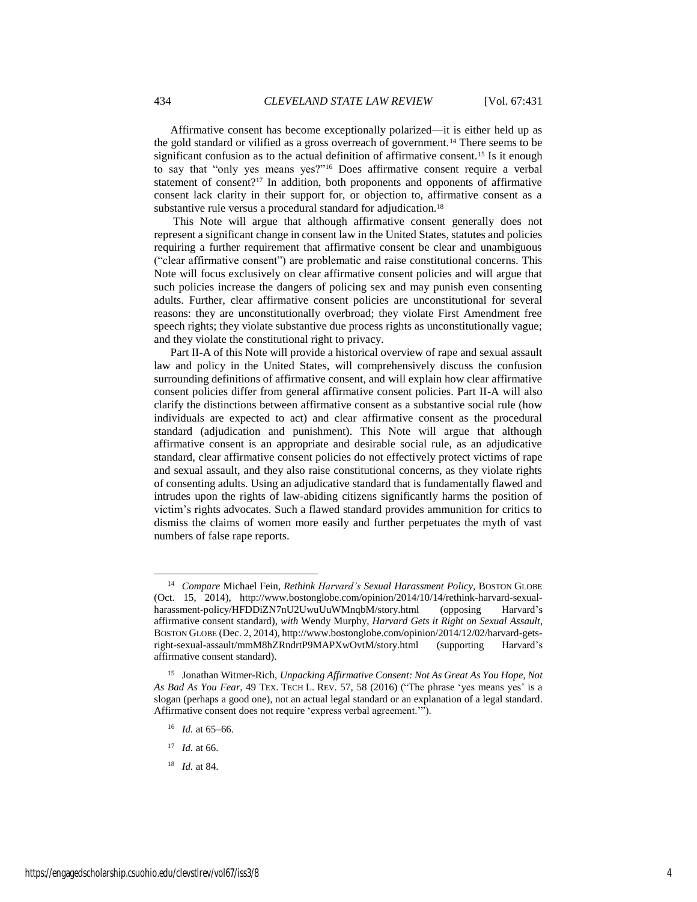Affirmative consent has become exceptionally polarized—it is either held up as the gold standard or vilified as a gross overreach of government.<sup>14</sup> There seems to be significant confusion as to the actual definition of affirmative consent.<sup>15</sup> Is it enough to say that "only yes means yes?"<sup>16</sup> Does affirmative consent require a verbal statement of consent?<sup>17</sup> In addition, both proponents and opponents of affirmative consent lack clarity in their support for, or objection to, affirmative consent as a substantive rule versus a procedural standard for adjudication.<sup>18</sup>

This Note will argue that although affirmative consent generally does not represent a significant change in consent law in the United States, statutes and policies requiring a further requirement that affirmative consent be clear and unambiguous ("clear affirmative consent") are problematic and raise constitutional concerns. This Note will focus exclusively on clear affirmative consent policies and will argue that such policies increase the dangers of policing sex and may punish even consenting adults. Further, clear affirmative consent policies are unconstitutional for several reasons: they are unconstitutionally overbroad; they violate First Amendment free speech rights; they violate substantive due process rights as unconstitutionally vague; and they violate the constitutional right to privacy.

Part II-A of this Note will provide a historical overview of rape and sexual assault law and policy in the United States, will comprehensively discuss the confusion surrounding definitions of affirmative consent, and will explain how clear affirmative consent policies differ from general affirmative consent policies. Part II-A will also clarify the distinctions between affirmative consent as a substantive social rule (how individuals are expected to act) and clear affirmative consent as the procedural standard (adjudication and punishment). This Note will argue that although affirmative consent is an appropriate and desirable social rule, as an adjudicative standard, clear affirmative consent policies do not effectively protect victims of rape and sexual assault, and they also raise constitutional concerns, as they violate rights of consenting adults. Using an adjudicative standard that is fundamentally flawed and intrudes upon the rights of law-abiding citizens significantly harms the position of victim's rights advocates. Such a flawed standard provides ammunition for critics to dismiss the claims of women more easily and further perpetuates the myth of vast numbers of false rape reports.

- <sup>16</sup> *Id.* at 65–66.
- <sup>17</sup> *Id.* at 66.

l

<sup>18</sup> *Id.* at 84.

<sup>14</sup> *Compare* Michael Fein, *Rethink Harvard's Sexual Harassment Policy*, BOSTON GLOBE (Oct. 15, 2014), http://www.bostonglobe.com/opinion/2014/10/14/rethink-harvard-sexualharassment-policy/HFDDiZN7nU2UwuUuWMnqbM/story.html (opposing Harvard's affirmative consent standard), *with* Wendy Murphy, *Harvard Gets it Right on Sexual Assault*, BOSTON GLOBE (Dec. 2, 2014), http://www.bostonglobe.com/opinion/2014/12/02/harvard-getsright-sexual-assault/mmM8hZRndrtP9MAPXwOvtM/story.html (supporting Harvard's affirmative consent standard).

<sup>15</sup> Jonathan Witmer-Rich, *Unpacking Affirmative Consent: Not As Great As You Hope, Not As Bad As You Fear*, 49 TEX. TECH L. REV. 57, 58 (2016) ("The phrase 'yes means yes' is a slogan (perhaps a good one), not an actual legal standard or an explanation of a legal standard. Affirmative consent does not require 'express verbal agreement.'").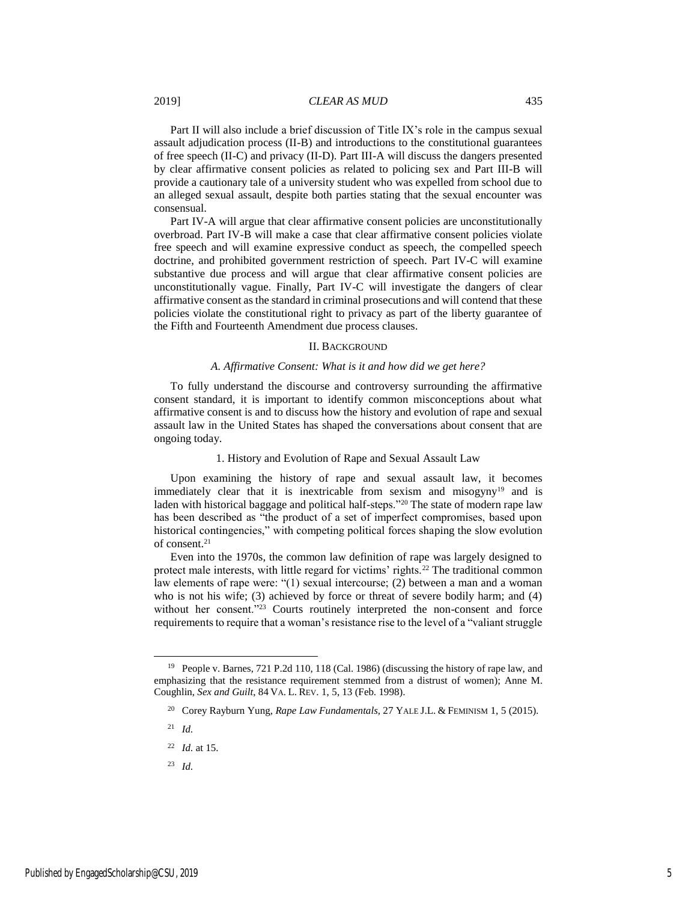#### 2019] *CLEAR AS MUD* 435

Part II will also include a brief discussion of Title IX's role in the campus sexual assault adjudication process (II-B) and introductions to the constitutional guarantees of free speech (II-C) and privacy (II-D). Part III-A will discuss the dangers presented by clear affirmative consent policies as related to policing sex and Part III-B will provide a cautionary tale of a university student who was expelled from school due to an alleged sexual assault, despite both parties stating that the sexual encounter was consensual.

Part IV-A will argue that clear affirmative consent policies are unconstitutionally overbroad. Part IV-B will make a case that clear affirmative consent policies violate free speech and will examine expressive conduct as speech, the compelled speech doctrine, and prohibited government restriction of speech. Part IV-C will examine substantive due process and will argue that clear affirmative consent policies are unconstitutionally vague. Finally, Part IV-C will investigate the dangers of clear affirmative consent as the standard in criminal prosecutions and will contend that these policies violate the constitutional right to privacy as part of the liberty guarantee of the Fifth and Fourteenth Amendment due process clauses.

#### II. BACKGROUND

#### *A. Affirmative Consent: What is it and how did we get here?*

To fully understand the discourse and controversy surrounding the affirmative consent standard, it is important to identify common misconceptions about what affirmative consent is and to discuss how the history and evolution of rape and sexual assault law in the United States has shaped the conversations about consent that are ongoing today.

#### 1. History and Evolution of Rape and Sexual Assault Law

Upon examining the history of rape and sexual assault law, it becomes immediately clear that it is inextricable from sexism and misogyny<sup>19</sup> and is laden with historical baggage and political half-steps."<sup>20</sup> The state of modern rape law has been described as "the product of a set of imperfect compromises, based upon historical contingencies," with competing political forces shaping the slow evolution of consent.<sup>21</sup>

Even into the 1970s, the common law definition of rape was largely designed to protect male interests, with little regard for victims' rights.<sup>22</sup> The traditional common law elements of rape were: "(1) sexual intercourse; (2) between a man and a woman who is not his wife; (3) achieved by force or threat of severe bodily harm; and (4) without her consent."<sup>23</sup> Courts routinely interpreted the non-consent and force requirements to require that a woman's resistance rise to the level of a "valiant struggle

l

<sup>19</sup> People v. Barnes, 721 P.2d 110, 118 (Cal. 1986) (discussing the history of rape law, and emphasizing that the resistance requirement stemmed from a distrust of women); Anne M. Coughlin, *Sex and Guilt*, 84 VA. L. REV. 1, 5, 13 (Feb. 1998).

<sup>20</sup> Corey Rayburn Yung, *Rape Law Fundamentals*, 27 YALE J.L. & FEMINISM 1, 5 (2015).

<sup>21</sup> *Id.*

<sup>22</sup> *Id.* at 15.

<sup>23</sup> *Id.*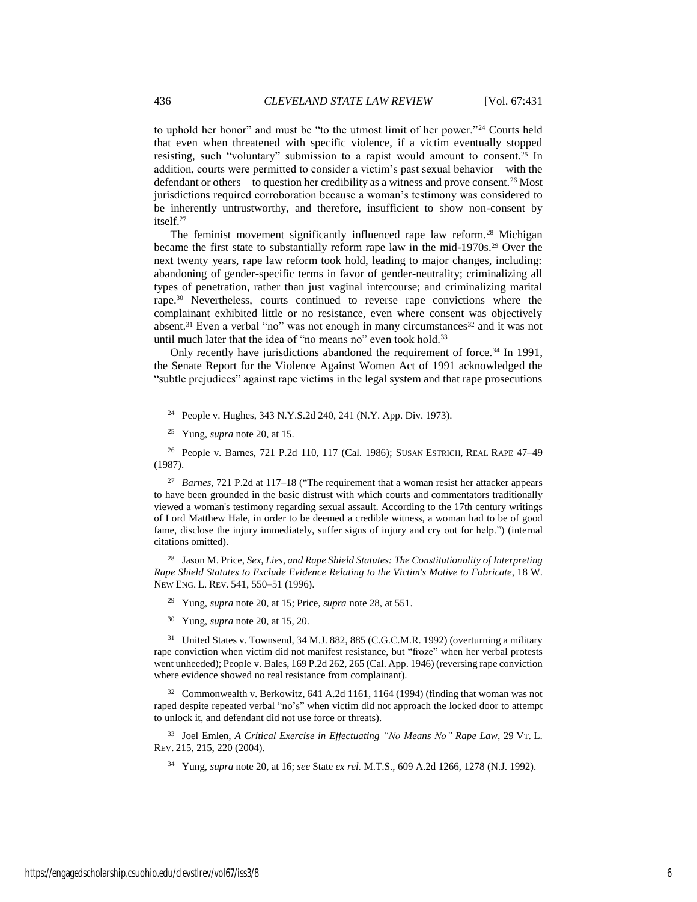to uphold her honor" and must be "to the utmost limit of her power."<sup>24</sup> Courts held that even when threatened with specific violence, if a victim eventually stopped resisting, such "voluntary" submission to a rapist would amount to consent.<sup>25</sup> In addition, courts were permitted to consider a victim's past sexual behavior—with the defendant or others—to question her credibility as a witness and prove consent.<sup>26</sup> Most jurisdictions required corroboration because a woman's testimony was considered to be inherently untrustworthy, and therefore, insufficient to show non-consent by itself.<sup>27</sup>

The feminist movement significantly influenced rape law reform.<sup>28</sup> Michigan became the first state to substantially reform rape law in the mid-1970s.<sup>29</sup> Over the next twenty years, rape law reform took hold, leading to major changes, including: abandoning of gender-specific terms in favor of gender-neutrality; criminalizing all types of penetration, rather than just vaginal intercourse; and criminalizing marital rape.<sup>30</sup> Nevertheless, courts continued to reverse rape convictions where the complainant exhibited little or no resistance, even where consent was objectively absent.<sup>31</sup> Even a verbal "no" was not enough in many circumstances<sup>32</sup> and it was not until much later that the idea of "no means no" even took hold.<sup>33</sup>

Only recently have jurisdictions abandoned the requirement of force.<sup>34</sup> In 1991, the Senate Report for the Violence Against Women Act of 1991 acknowledged the "subtle prejudices" against rape victims in the legal system and that rape prosecutions

<sup>26</sup> People v. Barnes, 721 P.2d 110, 117 (Cal. 1986); SUSAN ESTRICH, REAL RAPE 47–49 (1987).

<sup>27</sup> *Barnes*, 721 P.2d at 117–18 ("The requirement that a woman resist her attacker appears to have been grounded in the basic distrust with which courts and commentators traditionally viewed a woman's testimony regarding sexual assault. According to the 17th century writings of Lord Matthew Hale, in order to be deemed a credible witness, a woman had to be of good fame, disclose the injury immediately, suffer signs of injury and cry out for help.") (internal citations omitted).

<sup>28</sup> Jason M. Price, *Sex, Lies, and Rape Shield Statutes: The Constitutionality of Interpreting Rape Shield Statutes to Exclude Evidence Relating to the Victim's Motive to Fabricate*, 18 W. NEW ENG. L. REV. 541, 550–51 (1996).

<sup>29</sup> Yung, *supra* note 20, at 15; Price, *supra* note 28, at 551.

<sup>30</sup> Yung, *supra* note 20, at 15, 20.

<sup>31</sup> United States v. Townsend, 34 M.J. 882, 885 (C.G.C.M.R. 1992) (overturning a military rape conviction when victim did not manifest resistance, but "froze" when her verbal protests went unheeded); People v. Bales, 169 P.2d 262, 265 (Cal. App. 1946) (reversing rape conviction where evidence showed no real resistance from complainant).

<sup>32</sup> Commonwealth v. Berkowitz, 641 A.2d 1161, 1164 (1994) (finding that woman was not raped despite repeated verbal "no's" when victim did not approach the locked door to attempt to unlock it, and defendant did not use force or threats).

<sup>33</sup> Joel Emlen, *A Critical Exercise in Effectuating "No Means No" Rape Law*, 29 VT. L. REV. 215, 215, 220 (2004).

<sup>34</sup> Yung, *supra* note 20, at 16; *see* State *ex rel.* M.T.S., 609 A.2d 1266, 1278 (N.J. 1992).

<sup>24</sup> People v. Hughes, 343 N.Y.S.2d 240, 241 (N.Y. App. Div. 1973).

<sup>25</sup> Yung, *supra* note 20, at 15.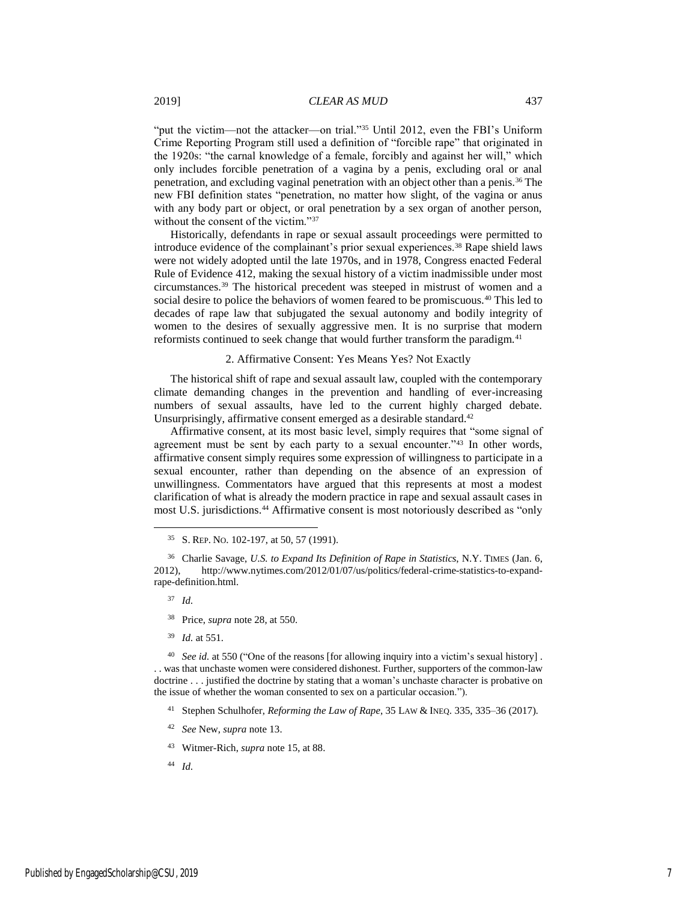"put the victim—not the attacker—on trial."<sup>35</sup> Until 2012, even the FBI's Uniform Crime Reporting Program still used a definition of "forcible rape" that originated in the 1920s: "the carnal knowledge of a female, forcibly and against her will," which only includes forcible penetration of a vagina by a penis, excluding oral or anal penetration, and excluding vaginal penetration with an object other than a penis.<sup>36</sup> The new FBI definition states "penetration, no matter how slight, of the vagina or anus with any body part or object, or oral penetration by a sex organ of another person, without the consent of the victim."<sup>37</sup>

Historically, defendants in rape or sexual assault proceedings were permitted to introduce evidence of the complainant's prior sexual experiences.<sup>38</sup> Rape shield laws were not widely adopted until the late 1970s, and in 1978, Congress enacted Federal Rule of Evidence 412, making the sexual history of a victim inadmissible under most circumstances.<sup>39</sup> The historical precedent was steeped in mistrust of women and a social desire to police the behaviors of women feared to be promiscuous.<sup>40</sup> This led to decades of rape law that subjugated the sexual autonomy and bodily integrity of women to the desires of sexually aggressive men. It is no surprise that modern reformists continued to seek change that would further transform the paradigm.<sup>41</sup>

#### 2. Affirmative Consent: Yes Means Yes? Not Exactly

The historical shift of rape and sexual assault law, coupled with the contemporary climate demanding changes in the prevention and handling of ever-increasing numbers of sexual assaults, have led to the current highly charged debate. Unsurprisingly, affirmative consent emerged as a desirable standard.<sup>42</sup>

Affirmative consent, at its most basic level, simply requires that "some signal of agreement must be sent by each party to a sexual encounter."<sup>43</sup> In other words, affirmative consent simply requires some expression of willingness to participate in a sexual encounter, rather than depending on the absence of an expression of unwillingness. Commentators have argued that this represents at most a modest clarification of what is already the modern practice in rape and sexual assault cases in most U.S. jurisdictions.<sup>44</sup> Affirmative consent is most notoriously described as "only

<sup>37</sup> *Id.*

 $\overline{\phantom{a}}$ 

- <sup>38</sup> Price, *supra* note 28, at 550.
- <sup>39</sup> *Id.* at 551.

<sup>40</sup> *See id.* at 550 ("One of the reasons [for allowing inquiry into a victim's sexual history] . . . was that unchaste women were considered dishonest. Further, supporters of the common-law doctrine . . . justified the doctrine by stating that a woman's unchaste character is probative on the issue of whether the woman consented to sex on a particular occasion.").

- <sup>41</sup> Stephen Schulhofer, *Reforming the Law of Rape*, 35 LAW & INEQ. 335, 335–36 (2017).
- <sup>42</sup> *See* New, *supra* note 13.
- <sup>43</sup> Witmer-Rich, *supra* note 15, at 88.
- <sup>44</sup> *Id.*

<sup>35</sup> S. REP. NO. 102-197, at 50, 57 (1991).

<sup>36</sup> Charlie Savage, *U.S. to Expand Its Definition of Rape in Statistics*, N.Y. TIMES (Jan. 6, 2012), http://www.nytimes.com/2012/01/07/us/politics/federal-crime-statistics-to-expandrape-definition.html.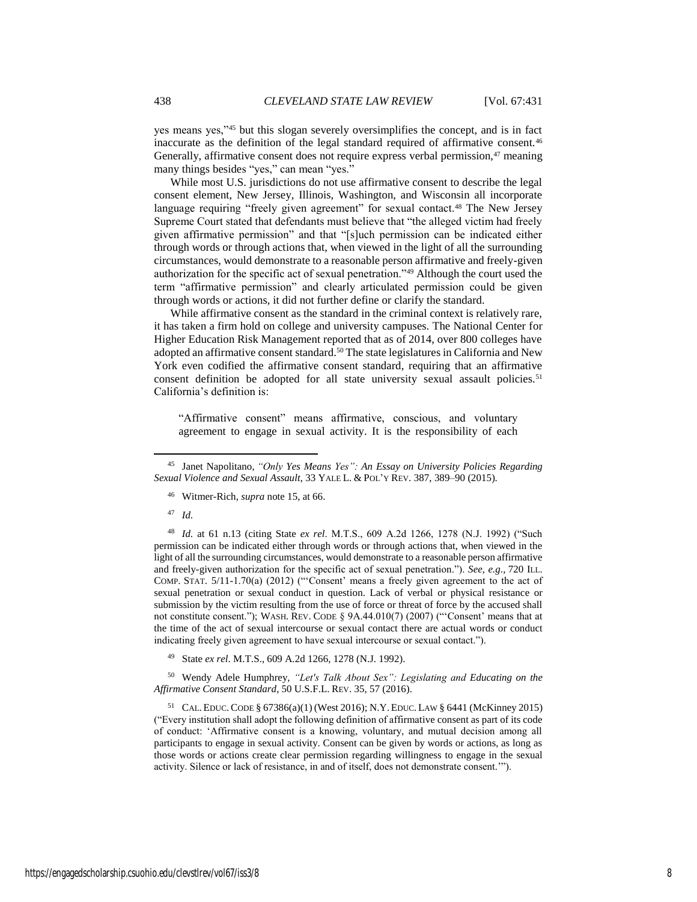yes means yes,"<sup>45</sup> but this slogan severely oversimplifies the concept, and is in fact inaccurate as the definition of the legal standard required of affirmative consent.<sup>46</sup> Generally, affirmative consent does not require express verbal permission,<sup>47</sup> meaning many things besides "yes," can mean "yes."

While most U.S. jurisdictions do not use affirmative consent to describe the legal consent element, New Jersey, Illinois, Washington, and Wisconsin all incorporate language requiring "freely given agreement" for sexual contact.<sup>48</sup> The New Jersey Supreme Court stated that defendants must believe that "the alleged victim had freely given affirmative permission" and that "[s]uch permission can be indicated either through words or through actions that, when viewed in the light of all the surrounding circumstances, would demonstrate to a reasonable person affirmative and freely-given authorization for the specific act of sexual penetration."<sup>49</sup> Although the court used the term "affirmative permission" and clearly articulated permission could be given through words or actions, it did not further define or clarify the standard.

While affirmative consent as the standard in the criminal context is relatively rare, it has taken a firm hold on college and university campuses. The National Center for Higher Education Risk Management reported that as of 2014, over 800 colleges have adopted an affirmative consent standard.<sup>50</sup> The state legislatures in California and New York even codified the affirmative consent standard, requiring that an affirmative consent definition be adopted for all state university sexual assault policies.<sup>51</sup> California's definition is:

"Affirmative consent" means affirmative, conscious, and voluntary agreement to engage in sexual activity. It is the responsibility of each

- <sup>46</sup> Witmer-Rich, *supra* note 15, at 66.
- <sup>47</sup> *Id.*

 $\overline{\phantom{a}}$ 

<sup>48</sup> *Id.* at 61 n.13 (citing State *ex rel*. M.T.S., 609 A.2d 1266, 1278 (N.J. 1992) ("Such permission can be indicated either through words or through actions that, when viewed in the light of all the surrounding circumstances, would demonstrate to a reasonable person affirmative and freely-given authorization for the specific act of sexual penetration."). *See, e.g.*, 720 ILL. COMP. STAT. 5/11-1.70(a) (2012) ("'Consent' means a freely given agreement to the act of sexual penetration or sexual conduct in question. Lack of verbal or physical resistance or submission by the victim resulting from the use of force or threat of force by the accused shall not constitute consent."); WASH. REV. CODE § 9A.44.010(7) (2007) ("'Consent' means that at the time of the act of sexual intercourse or sexual contact there are actual words or conduct indicating freely given agreement to have sexual intercourse or sexual contact.").

<sup>49</sup> State *ex rel*. M.T.S., 609 A.2d 1266, 1278 (N.J. 1992).

<sup>50</sup> Wendy Adele Humphrey, *"Let's Talk About Sex": Legislating and Educating on the Affirmative Consent Standard*, 50 U.S.F.L. REV. 35, 57 (2016).

<sup>51</sup> CAL. EDUC.CODE § 67386(a)(1) (West 2016); N.Y.EDUC.LAW § 6441 (McKinney 2015) ("Every institution shall adopt the following definition of affirmative consent as part of its code of conduct: 'Affirmative consent is a knowing, voluntary, and mutual decision among all participants to engage in sexual activity. Consent can be given by words or actions, as long as those words or actions create clear permission regarding willingness to engage in the sexual activity. Silence or lack of resistance, in and of itself, does not demonstrate consent.'").

<sup>45</sup> Janet Napolitano, *"Only Yes Means Yes": An Essay on University Policies Regarding Sexual Violence and Sexual Assault*, 33 YALE L. & POL'Y REV. 387, 389–90 (2015).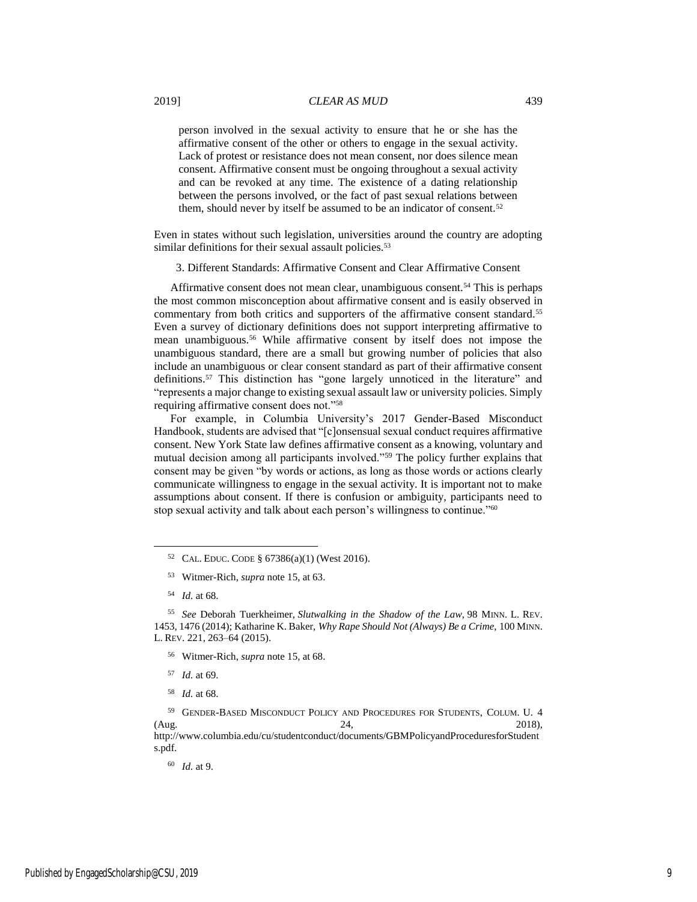#### 2019] *CLEAR AS MUD* 439

person involved in the sexual activity to ensure that he or she has the affirmative consent of the other or others to engage in the sexual activity. Lack of protest or resistance does not mean consent, nor does silence mean consent. Affirmative consent must be ongoing throughout a sexual activity and can be revoked at any time. The existence of a dating relationship between the persons involved, or the fact of past sexual relations between them, should never by itself be assumed to be an indicator of consent.<sup>52</sup>

Even in states without such legislation, universities around the country are adopting similar definitions for their sexual assault policies.<sup>53</sup>

3. Different Standards: Affirmative Consent and Clear Affirmative Consent

Affirmative consent does not mean clear, unambiguous consent.<sup>54</sup> This is perhaps the most common misconception about affirmative consent and is easily observed in commentary from both critics and supporters of the affirmative consent standard.<sup>55</sup> Even a survey of dictionary definitions does not support interpreting affirmative to mean unambiguous.<sup>56</sup> While affirmative consent by itself does not impose the unambiguous standard, there are a small but growing number of policies that also include an unambiguous or clear consent standard as part of their affirmative consent definitions.<sup>57</sup> This distinction has "gone largely unnoticed in the literature" and "represents a major change to existing sexual assault law or university policies. Simply requiring affirmative consent does not."<sup>58</sup>

For example, in Columbia University's 2017 Gender-Based Misconduct Handbook, students are advised that "[c]onsensual sexual conduct requires affirmative consent. New York State law defines affirmative consent as a knowing, voluntary and mutual decision among all participants involved."<sup>59</sup> The policy further explains that consent may be given "by words or actions, as long as those words or actions clearly communicate willingness to engage in the sexual activity. It is important not to make assumptions about consent. If there is confusion or ambiguity, participants need to stop sexual activity and talk about each person's willingness to continue."<sup>60</sup>

l

- <sup>56</sup> Witmer-Rich, *supra* note 15, at 68.
- <sup>57</sup> *Id.* at 69.
- <sup>58</sup> *Id.* at 68.

<sup>59</sup> GENDER-BASED MISCONDUCT POLICY AND PROCEDURES FOR STUDENTS, COLUM. U. 4  $(\text{Aug.} \hspace{1.5cm} 24, \hspace{1.5cm} 2018),$ http://www.columbia.edu/cu/studentconduct/documents/GBMPolicyandProceduresforStudent s.pdf.

<sup>60</sup> *Id.* at 9.

<sup>52</sup> CAL. EDUC. CODE § 67386(a)(1) (West 2016).

<sup>53</sup> Witmer-Rich, *supra* note 15, at 63.

<sup>54</sup> *Id.* at 68.

<sup>55</sup> *See* Deborah Tuerkheimer, *Slutwalking in the Shadow of the Law*, 98 MINN. L. REV. 1453, 1476 (2014); Katharine K. Baker, *Why Rape Should Not (Always) Be a Crime*, 100 MINN. L. REV. 221, 263–64 (2015).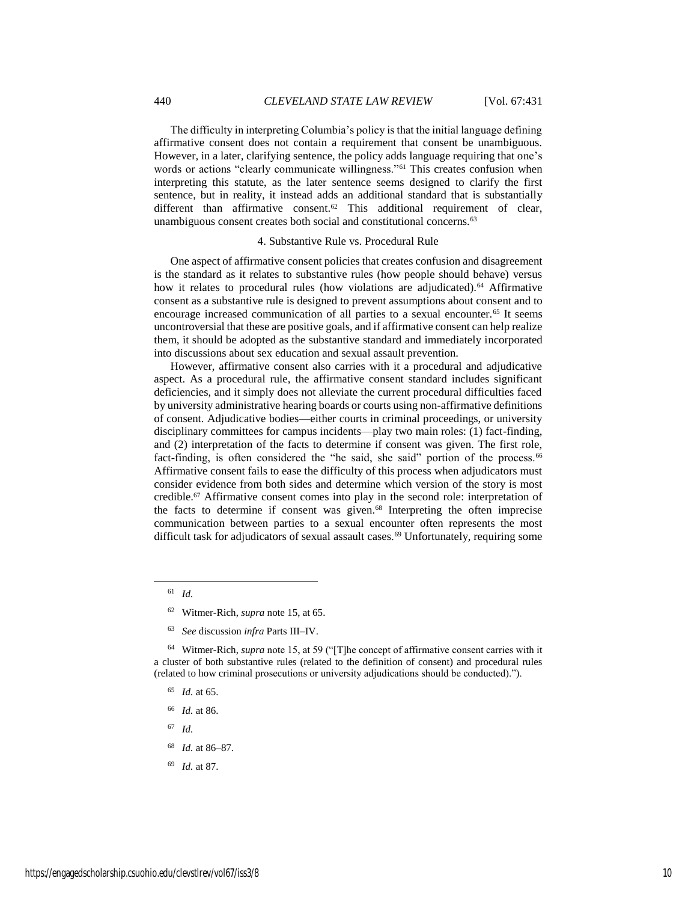The difficulty in interpreting Columbia's policy is that the initial language defining affirmative consent does not contain a requirement that consent be unambiguous. However, in a later, clarifying sentence, the policy adds language requiring that one's words or actions "clearly communicate willingness."<sup>61</sup> This creates confusion when interpreting this statute, as the later sentence seems designed to clarify the first sentence, but in reality, it instead adds an additional standard that is substantially different than affirmative consent.<sup>62</sup> This additional requirement of clear, unambiguous consent creates both social and constitutional concerns.<sup>63</sup>

#### 4. Substantive Rule vs. Procedural Rule

One aspect of affirmative consent policies that creates confusion and disagreement is the standard as it relates to substantive rules (how people should behave) versus how it relates to procedural rules (how violations are adjudicated).<sup>64</sup> Affirmative consent as a substantive rule is designed to prevent assumptions about consent and to encourage increased communication of all parties to a sexual encounter.<sup>65</sup> It seems uncontroversial that these are positive goals, and if affirmative consent can help realize them, it should be adopted as the substantive standard and immediately incorporated into discussions about sex education and sexual assault prevention.

However, affirmative consent also carries with it a procedural and adjudicative aspect. As a procedural rule, the affirmative consent standard includes significant deficiencies, and it simply does not alleviate the current procedural difficulties faced by university administrative hearing boards or courts using non-affirmative definitions of consent. Adjudicative bodies—either courts in criminal proceedings, or university disciplinary committees for campus incidents—play two main roles: (1) fact-finding, and (2) interpretation of the facts to determine if consent was given. The first role, fact-finding, is often considered the "he said, she said" portion of the process.<sup>66</sup> Affirmative consent fails to ease the difficulty of this process when adjudicators must consider evidence from both sides and determine which version of the story is most credible.<sup>67</sup> Affirmative consent comes into play in the second role: interpretation of the facts to determine if consent was given.<sup>68</sup> Interpreting the often imprecise communication between parties to a sexual encounter often represents the most difficult task for adjudicators of sexual assault cases.<sup>69</sup> Unfortunately, requiring some

<sup>61</sup> *Id.*

 $\overline{\phantom{a}}$ 

- <sup>62</sup> Witmer-Rich, *supra* note 15, at 65.
- <sup>63</sup> *See* discussion *infra* Parts III–IV.

<sup>64</sup> Witmer-Rich, *supra* note 15, at 59 ("[T]he concept of affirmative consent carries with it a cluster of both substantive rules (related to the definition of consent) and procedural rules (related to how criminal prosecutions or university adjudications should be conducted).").

- <sup>65</sup> *Id.* at 65.
- <sup>66</sup> *Id.* at 86.
- <sup>67</sup> *Id.*
- <sup>68</sup> *Id.* at 86–87.
- <sup>69</sup> *Id.* at 87.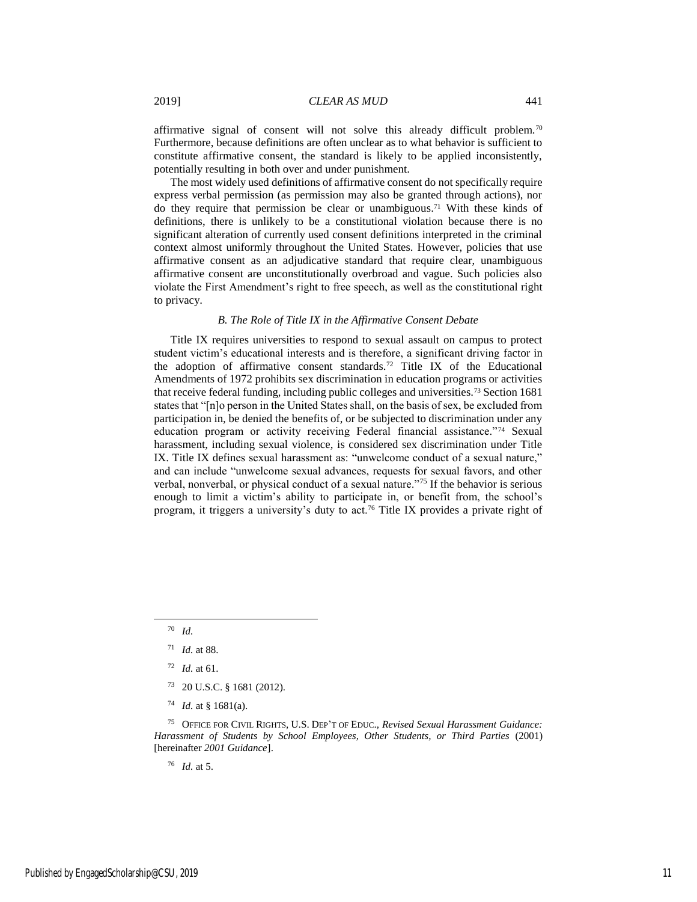affirmative signal of consent will not solve this already difficult problem.<sup>70</sup> Furthermore, because definitions are often unclear as to what behavior is sufficient to constitute affirmative consent, the standard is likely to be applied inconsistently, potentially resulting in both over and under punishment.

The most widely used definitions of affirmative consent do not specifically require express verbal permission (as permission may also be granted through actions), nor do they require that permission be clear or unambiguous.<sup>71</sup> With these kinds of definitions, there is unlikely to be a constitutional violation because there is no significant alteration of currently used consent definitions interpreted in the criminal context almost uniformly throughout the United States. However, policies that use affirmative consent as an adjudicative standard that require clear, unambiguous affirmative consent are unconstitutionally overbroad and vague. Such policies also violate the First Amendment's right to free speech, as well as the constitutional right to privacy.

#### *B. The Role of Title IX in the Affirmative Consent Debate*

Title IX requires universities to respond to sexual assault on campus to protect student victim's educational interests and is therefore, a significant driving factor in the adoption of affirmative consent standards.<sup>72</sup> Title IX of the Educational Amendments of 1972 prohibits sex discrimination in education programs or activities that receive federal funding, including public colleges and universities.<sup>73</sup> Section 1681 states that "[n]o person in the United States shall, on the basis of sex, be excluded from participation in, be denied the benefits of, or be subjected to discrimination under any education program or activity receiving Federal financial assistance."<sup>74</sup> Sexual harassment, including sexual violence, is considered sex discrimination under Title IX. Title IX defines sexual harassment as: "unwelcome conduct of a sexual nature," and can include "unwelcome sexual advances, requests for sexual favors, and other verbal, nonverbal, or physical conduct of a sexual nature."<sup>75</sup> If the behavior is serious enough to limit a victim's ability to participate in, or benefit from, the school's program, it triggers a university's duty to act.<sup>76</sup> Title IX provides a private right of

 $\overline{a}$ 

<sup>76</sup> *Id.* at 5.

<sup>70</sup> *Id.*

<sup>71</sup> *Id.* at 88.

<sup>72</sup> *Id.* at 61.

<sup>73</sup> 20 U.S.C. § 1681 (2012).

<sup>74</sup> *Id.* at § 1681(a).

<sup>75</sup> OFFICE FOR CIVIL RIGHTS, U.S. DEP'T OF EDUC., *Revised Sexual Harassment Guidance: Harassment of Students by School Employees, Other Students, or Third Parties* (2001) [hereinafter *2001 Guidance*].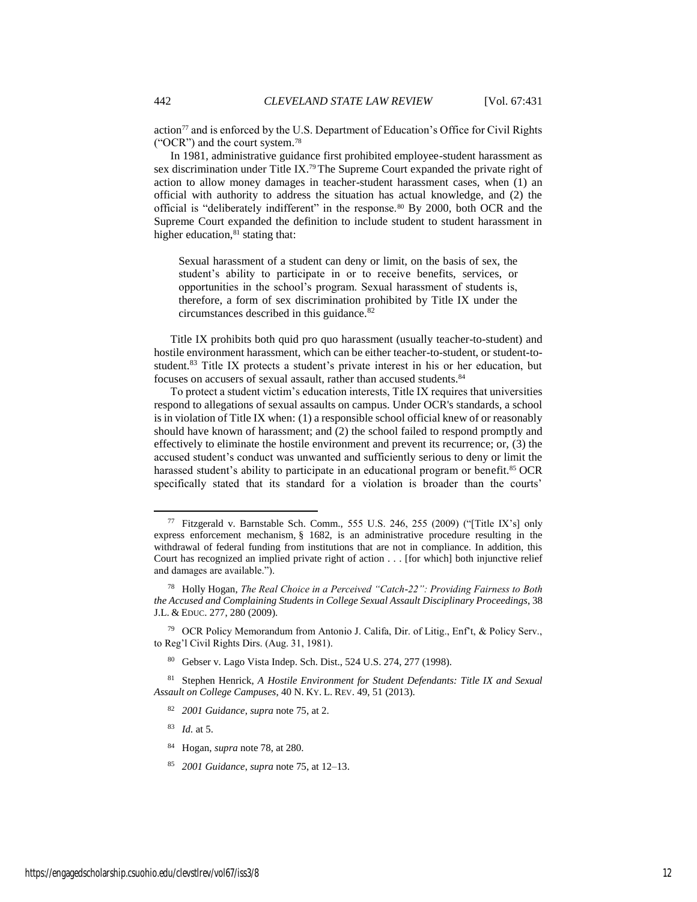action<sup>77</sup> and is enforced by the U.S. Department of Education's Office for Civil Rights ("OCR") and the court system.<sup>78</sup>

In 1981, administrative guidance first prohibited employee-student harassment as sex discrimination under Title IX.<sup>79</sup> The Supreme Court expanded the private right of action to allow money damages in teacher-student harassment cases, when (1) an official with authority to address the situation has actual knowledge, and (2) the official is "deliberately indifferent" in the response.<sup>80</sup> By 2000, both OCR and the Supreme Court expanded the definition to include student to student harassment in higher education,<sup>81</sup> stating that:

Sexual harassment of a student can deny or limit, on the basis of sex, the student's ability to participate in or to receive benefits, services, or opportunities in the school's program. Sexual harassment of students is, therefore, a form of sex discrimination prohibited by Title IX under the circumstances described in this guidance.<sup>82</sup>

Title IX prohibits both quid pro quo harassment (usually teacher-to-student) and hostile environment harassment, which can be either teacher-to-student, or student-tostudent.<sup>83</sup> Title IX protects a student's private interest in his or her education, but focuses on accusers of sexual assault, rather than accused students.<sup>84</sup>

To protect a student victim's education interests, Title IX requires that universities respond to allegations of sexual assaults on campus. Under OCR's standards, a school is in violation of Title IX when: (1) a responsible school official knew of or reasonably should have known of harassment; and (2) the school failed to respond promptly and effectively to eliminate the hostile environment and prevent its recurrence; or, (3) the accused student's conduct was unwanted and sufficiently serious to deny or limit the harassed student's ability to participate in an educational program or benefit.<sup>85</sup> OCR specifically stated that its standard for a violation is broader than the courts'

l

- <sup>84</sup> Hogan, *supra* note 78, at 280.
- <sup>85</sup> *2001 Guidance*, *supra* note 75, at 12–13.

<sup>77</sup> Fitzgerald v. Barnstable Sch. Comm., 555 U.S. 246, 255 (2009) ("[Title IX's] only express enforcement mechanism, § 1682, is an administrative procedure resulting in the withdrawal of federal funding from institutions that are not in compliance. In addition, this Court has recognized an implied private right of action . . . [for which] both injunctive relief and damages are available.").

<sup>78</sup> Holly Hogan, *The Real Choice in a Perceived "Catch-22": Providing Fairness to Both the Accused and Complaining Students in College Sexual Assault Disciplinary Proceedings*, 38 J.L. & EDUC. 277, 280 (2009).

<sup>79</sup> OCR Policy Memorandum from Antonio J. Califa, Dir. of Litig., Enf't, & Policy Serv., to Reg'l Civil Rights Dirs. (Aug. 31, 1981).

<sup>80</sup> Gebser v. Lago Vista Indep. Sch. Dist., 524 U.S. 274, 277 (1998).

<sup>81</sup> Stephen Henrick, *A Hostile Environment for Student Defendants: Title IX and Sexual Assault on College Campuses*, 40 N. KY. L. REV. 49, 51 (2013).

<sup>82</sup> *2001 Guidance*, *supra* note 75, at 2.

<sup>83</sup> *Id.* at 5.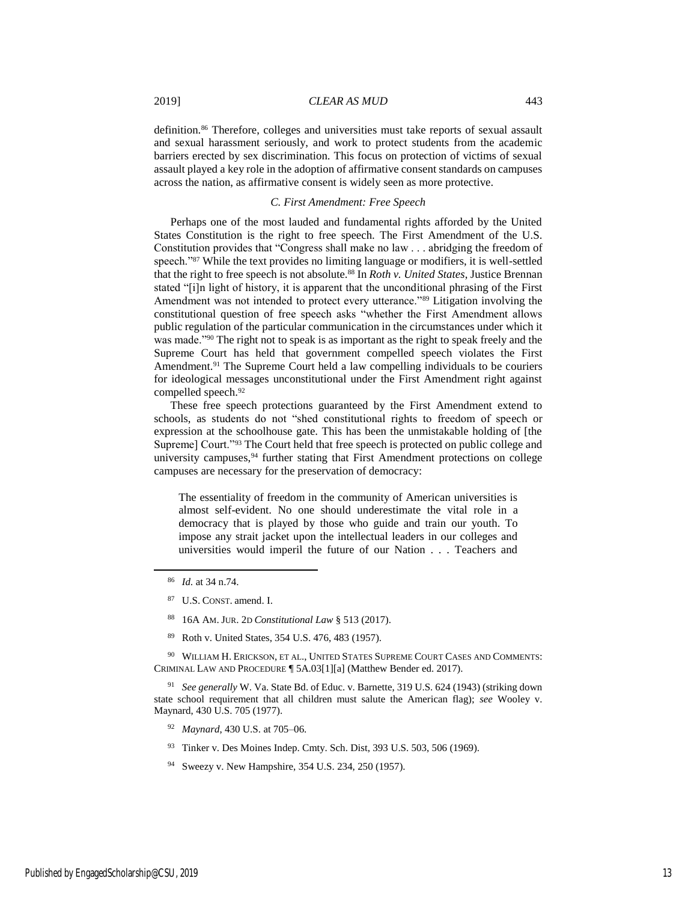definition.<sup>86</sup> Therefore, colleges and universities must take reports of sexual assault and sexual harassment seriously, and work to protect students from the academic barriers erected by sex discrimination. This focus on protection of victims of sexual assault played a key role in the adoption of affirmative consent standards on campuses across the nation, as affirmative consent is widely seen as more protective.

#### *C. First Amendment: Free Speech*

Perhaps one of the most lauded and fundamental rights afforded by the United States Constitution is the right to free speech. The First Amendment of the U.S. Constitution provides that "Congress shall make no law . . . abridging the freedom of speech."<sup>87</sup> While the text provides no limiting language or modifiers, it is well-settled that the right to free speech is not absolute.<sup>88</sup> In *Roth v. United States*, Justice Brennan stated "[i]n light of history, it is apparent that the unconditional phrasing of the First Amendment was not intended to protect every utterance."<sup>89</sup> Litigation involving the constitutional question of free speech asks "whether the First Amendment allows public regulation of the particular communication in the circumstances under which it was made."<sup>90</sup> The right not to speak is as important as the right to speak freely and the Supreme Court has held that government compelled speech violates the First Amendment.<sup>91</sup> The Supreme Court held a law compelling individuals to be couriers for ideological messages unconstitutional under the First Amendment right against compelled speech.<sup>92</sup>

These free speech protections guaranteed by the First Amendment extend to schools, as students do not "shed constitutional rights to freedom of speech or expression at the schoolhouse gate. This has been the unmistakable holding of [the Supreme] Court."<sup>93</sup> The Court held that free speech is protected on public college and university campuses,<sup>94</sup> further stating that First Amendment protections on college campuses are necessary for the preservation of democracy:

The essentiality of freedom in the community of American universities is almost self-evident. No one should underestimate the vital role in a democracy that is played by those who guide and train our youth. To impose any strait jacket upon the intellectual leaders in our colleges and universities would imperil the future of our Nation . . . Teachers and

l

- <sup>88</sup> 16A AM. JUR. 2D *Constitutional Law* § 513 (2017).
- <sup>89</sup> Roth v. United States, 354 U.S. 476, 483 (1957).

<sup>90</sup> WILLIAM H. ERICKSON, ET AL., UNITED STATES SUPREME COURT CASES AND COMMENTS: CRIMINAL LAW AND PROCEDURE ¶ 5A.03[1][a] (Matthew Bender ed. 2017).

<sup>91</sup> *See generally* W. Va. State Bd. of Educ. v. Barnette, 319 U.S. 624 (1943) (striking down state school requirement that all children must salute the American flag); *see* Wooley v. Maynard, 430 U.S. 705 (1977).

- <sup>92</sup> *Maynard*, 430 U.S. at 705–06.
- 93 Tinker v. Des Moines Indep. Cmty. Sch. Dist, 393 U.S. 503, 506 (1969).
- <sup>94</sup> Sweezy v. New Hampshire, 354 U.S. 234, 250 (1957).

<sup>86</sup> *Id.* at 34 n.74.

<sup>87</sup> U.S. CONST. amend. I.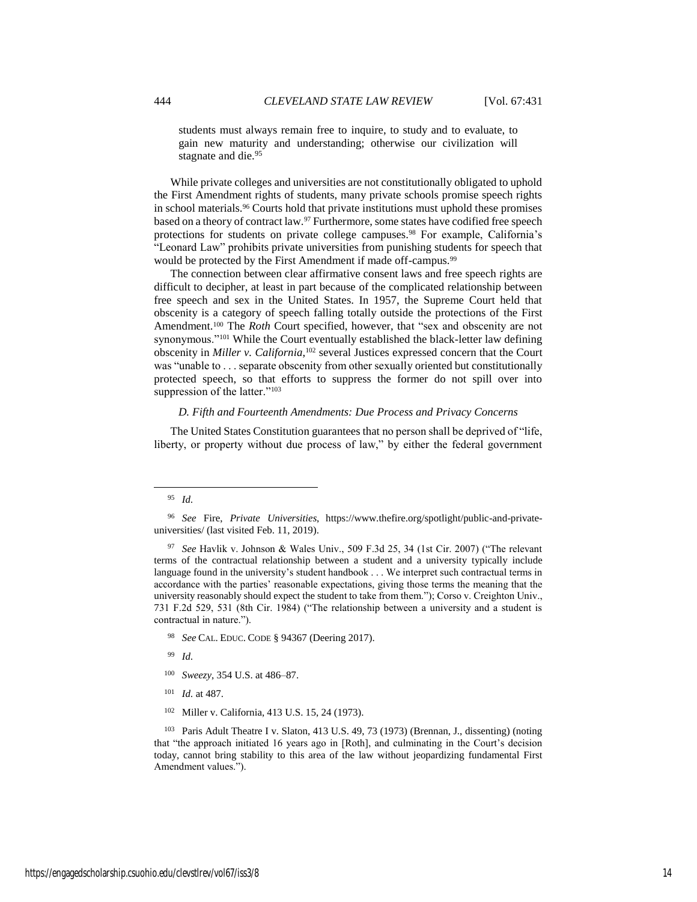students must always remain free to inquire, to study and to evaluate, to gain new maturity and understanding; otherwise our civilization will stagnate and die.<sup>95</sup>

While private colleges and universities are not constitutionally obligated to uphold the First Amendment rights of students, many private schools promise speech rights in school materials.<sup>96</sup> Courts hold that private institutions must uphold these promises based on a theory of contract law.<sup>97</sup> Furthermore, some states have codified free speech protections for students on private college campuses.<sup>98</sup> For example, California's "Leonard Law" prohibits private universities from punishing students for speech that would be protected by the First Amendment if made off-campus.<sup>99</sup>

The connection between clear affirmative consent laws and free speech rights are difficult to decipher, at least in part because of the complicated relationship between free speech and sex in the United States. In 1957, the Supreme Court held that obscenity is a category of speech falling totally outside the protections of the First Amendment.<sup>100</sup> The *Roth* Court specified, however, that "sex and obscenity are not synonymous."<sup>101</sup> While the Court eventually established the black-letter law defining obscenity in *Miller v. California*, <sup>102</sup> several Justices expressed concern that the Court was "unable to . . . separate obscenity from other sexually oriented but constitutionally protected speech, so that efforts to suppress the former do not spill over into suppression of the latter."<sup>103</sup>

#### *D. Fifth and Fourteenth Amendments: Due Process and Privacy Concerns*

The United States Constitution guarantees that no person shall be deprived of "life, liberty, or property without due process of law," by either the federal government

 $\overline{a}$ 

- <sup>98</sup> *See* CAL. EDUC. CODE § 94367 (Deering 2017).
- <sup>99</sup> *Id.*
- <sup>100</sup> *Sweezy*, 354 U.S. at 486–87.
- <sup>101</sup> *Id.* at 487.
- <sup>102</sup> Miller v. California, 413 U.S. 15, 24 (1973).

<sup>95</sup> *Id.*

<sup>96</sup> *See* Fire, *Private Universities*, https://www.thefire.org/spotlight/public-and-privateuniversities/ (last visited Feb. 11, 2019).

<sup>97</sup> *See* Havlik v. Johnson & Wales Univ., 509 F.3d 25, 34 (1st Cir. 2007) ("The relevant terms of the contractual relationship between a student and a university typically include language found in the university's student handbook . . . We interpret such contractual terms in accordance with the parties' reasonable expectations, giving those terms the meaning that the university reasonably should expect the student to take from them."); Corso v. Creighton Univ., 731 F.2d 529, 531 (8th Cir. 1984) ("The relationship between a university and a student is contractual in nature.").

<sup>103</sup> Paris Adult Theatre I v. Slaton, 413 U.S. 49, 73 (1973) (Brennan, J., dissenting) (noting that "the approach initiated 16 years ago in [Roth], and culminating in the Court's decision today, cannot bring stability to this area of the law without jeopardizing fundamental First Amendment values.").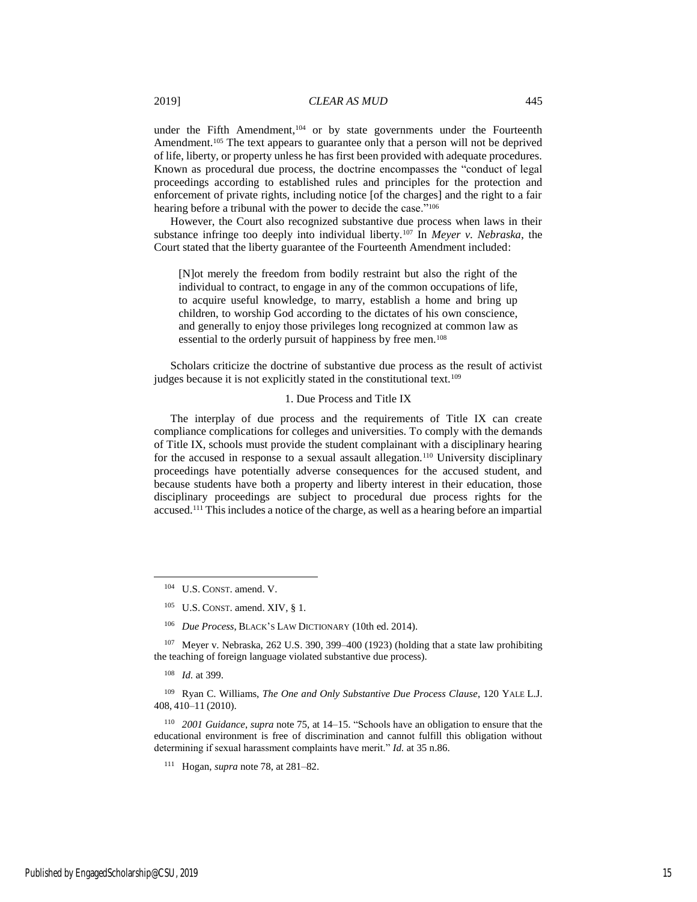under the Fifth Amendment,<sup>104</sup> or by state governments under the Fourteenth Amendment.<sup>105</sup> The text appears to guarantee only that a person will not be deprived of life, liberty, or property unless he has first been provided with adequate procedures. Known as procedural due process, the doctrine encompasses the "conduct of legal proceedings according to established rules and principles for the protection and enforcement of private rights, including notice [of the charges] and the right to a fair hearing before a tribunal with the power to decide the case."<sup>106</sup>

However, the Court also recognized substantive due process when laws in their substance infringe too deeply into individual liberty.<sup>107</sup> In *Meyer v. Nebraska*, the Court stated that the liberty guarantee of the Fourteenth Amendment included:

[N]ot merely the freedom from bodily restraint but also the right of the individual to contract, to engage in any of the common occupations of life, to acquire useful knowledge, to marry, establish a home and bring up children, to worship God according to the dictates of his own conscience, and generally to enjoy those privileges long recognized at common law as essential to the orderly pursuit of happiness by free men.<sup>108</sup>

Scholars criticize the doctrine of substantive due process as the result of activist judges because it is not explicitly stated in the constitutional text.<sup>109</sup>

#### 1. Due Process and Title IX

The interplay of due process and the requirements of Title IX can create compliance complications for colleges and universities. To comply with the demands of Title IX, schools must provide the student complainant with a disciplinary hearing for the accused in response to a sexual assault allegation.<sup>110</sup> University disciplinary proceedings have potentially adverse consequences for the accused student, and because students have both a property and liberty interest in their education, those disciplinary proceedings are subject to procedural due process rights for the accused.<sup>111</sup> This includes a notice of the charge, as well as a hearing before an impartial

<sup>106</sup> *Due Process*, BLACK'S LAW DICTIONARY (10th ed. 2014).

<sup>107</sup> Meyer v. Nebraska, 262 U.S. 390, 399–400 (1923) (holding that a state law prohibiting the teaching of foreign language violated substantive due process).

<sup>108</sup> *Id.* at 399.

l

<sup>109</sup> Ryan C. Williams, *The One and Only Substantive Due Process Clause*, 120 YALE L.J. 408, 410–11 (2010).

<sup>110</sup> *2001 Guidance*, *supra* note 75, at 14–15. "Schools have an obligation to ensure that the educational environment is free of discrimination and cannot fulfill this obligation without determining if sexual harassment complaints have merit." *Id.* at 35 n.86.

<sup>104</sup> U.S. CONST. amend. V.

<sup>105</sup> U.S. CONST. amend. XIV, § 1.

<sup>111</sup> Hogan, *supra* note 78, at 281–82.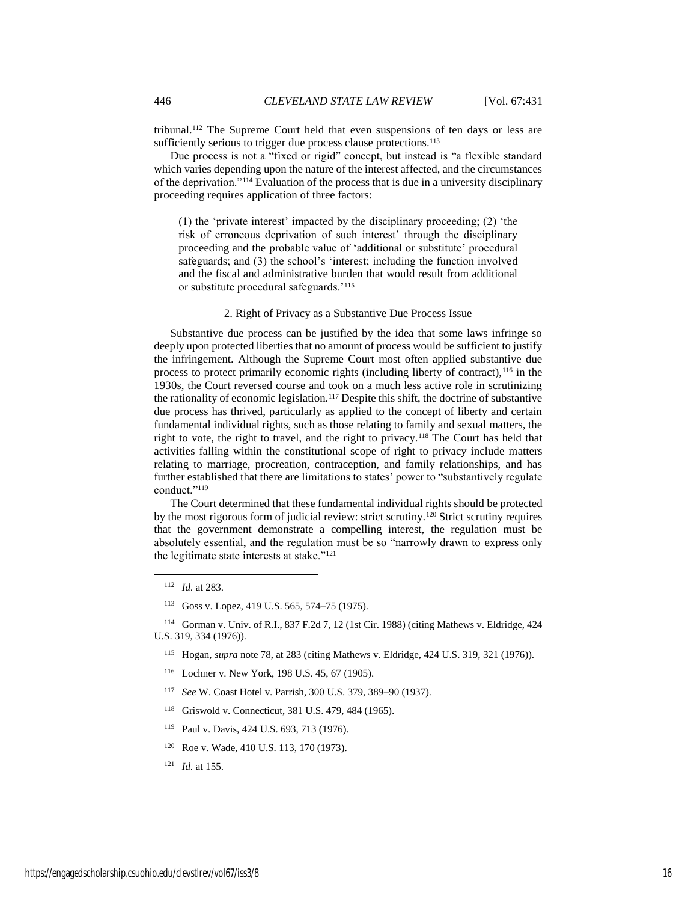tribunal.<sup>112</sup> The Supreme Court held that even suspensions of ten days or less are sufficiently serious to trigger due process clause protections.<sup>113</sup>

Due process is not a "fixed or rigid" concept, but instead is "a flexible standard which varies depending upon the nature of the interest affected, and the circumstances of the deprivation."<sup>114</sup> Evaluation of the process that is due in a university disciplinary proceeding requires application of three factors:

(1) the 'private interest' impacted by the disciplinary proceeding; (2) 'the risk of erroneous deprivation of such interest' through the disciplinary proceeding and the probable value of 'additional or substitute' procedural safeguards; and (3) the school's 'interest; including the function involved and the fiscal and administrative burden that would result from additional or substitute procedural safeguards.'<sup>115</sup>

#### 2. Right of Privacy as a Substantive Due Process Issue

Substantive due process can be justified by the idea that some laws infringe so deeply upon protected liberties that no amount of process would be sufficient to justify the infringement. Although the Supreme Court most often applied substantive due process to protect primarily economic rights (including liberty of contract),  $116$  in the 1930s, the Court reversed course and took on a much less active role in scrutinizing the rationality of economic legislation.<sup>117</sup> Despite this shift, the doctrine of substantive due process has thrived, particularly as applied to the concept of liberty and certain fundamental individual rights, such as those relating to family and sexual matters, the right to vote, the right to travel, and the right to privacy.<sup>118</sup> The Court has held that activities falling within the constitutional scope of right to privacy include matters relating to marriage, procreation, contraception, and family relationships, and has further established that there are limitations to states' power to "substantively regulate conduct."<sup>119</sup>

The Court determined that these fundamental individual rights should be protected by the most rigorous form of judicial review: strict scrutiny.<sup>120</sup> Strict scrutiny requires that the government demonstrate a compelling interest, the regulation must be absolutely essential, and the regulation must be so "narrowly drawn to express only the legitimate state interests at stake."<sup>121</sup>

 $\overline{\phantom{a}}$ 

<sup>114</sup> Gorman v. Univ. of R.I., 837 F.2d 7, 12 (1st Cir. 1988) (citing Mathews v. Eldridge, 424 U.S. 319, 334 (1976)).

<sup>115</sup> Hogan, *supra* note 78, at 283 (citing Mathews v. Eldridge, 424 U.S. 319, 321 (1976)).

- <sup>116</sup> Lochner v. New York, 198 U.S. 45, 67 (1905).
- <sup>117</sup> *See* W. Coast Hotel v. Parrish, 300 U.S. 379, 389–90 (1937).
- <sup>118</sup> Griswold v. Connecticut, 381 U.S. 479, 484 (1965).
- <sup>119</sup> Paul v. Davis, 424 U.S. 693, 713 (1976).
- <sup>120</sup> Roe v. Wade, 410 U.S. 113, 170 (1973).
- <sup>121</sup> *Id.* at 155.

<sup>112</sup> *Id.* at 283.

<sup>113</sup> Goss v. Lopez, 419 U.S. 565, 574–75 (1975).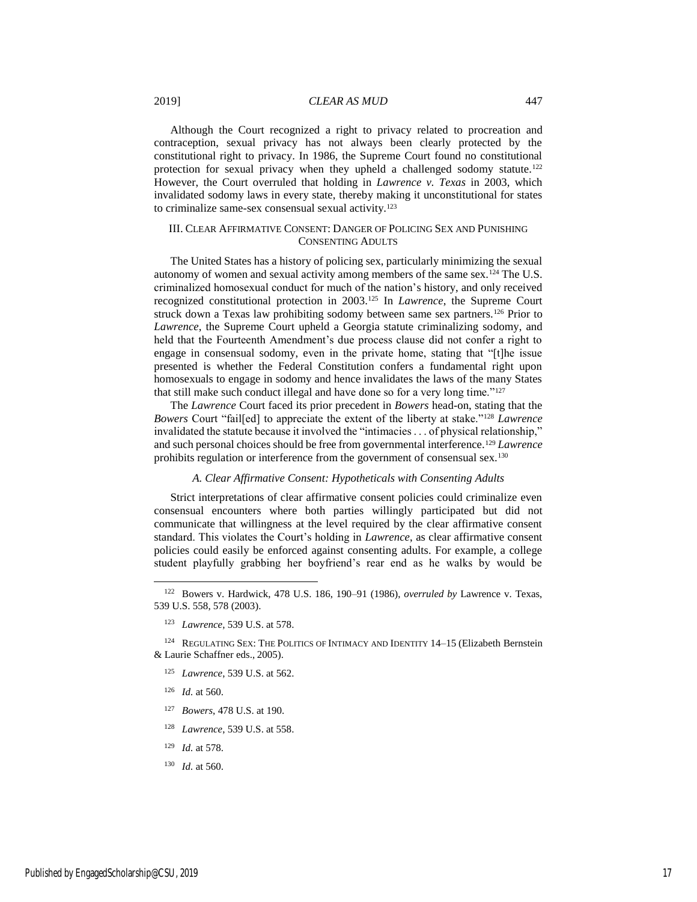#### 2019] *CLEAR AS MUD* 447

Although the Court recognized a right to privacy related to procreation and contraception, sexual privacy has not always been clearly protected by the constitutional right to privacy. In 1986, the Supreme Court found no constitutional protection for sexual privacy when they upheld a challenged sodomy statute.<sup>122</sup> However, the Court overruled that holding in *Lawrence v. Texas* in 2003, which invalidated sodomy laws in every state, thereby making it unconstitutional for states to criminalize same-sex consensual sexual activity.<sup>123</sup>

#### III. CLEAR AFFIRMATIVE CONSENT: DANGER OF POLICING SEX AND PUNISHING CONSENTING ADULTS

The United States has a history of policing sex, particularly minimizing the sexual autonomy of women and sexual activity among members of the same sex.<sup>124</sup> The U.S. criminalized homosexual conduct for much of the nation's history, and only received recognized constitutional protection in 2003.<sup>125</sup> In *Lawrence*, the Supreme Court struck down a Texas law prohibiting sodomy between same sex partners.<sup>126</sup> Prior to *Lawrence*, the Supreme Court upheld a Georgia statute criminalizing sodomy, and held that the Fourteenth Amendment's due process clause did not confer a right to engage in consensual sodomy, even in the private home, stating that "[t]he issue presented is whether the Federal Constitution confers a fundamental right upon homosexuals to engage in sodomy and hence invalidates the laws of the many States that still make such conduct illegal and have done so for a very long time."<sup>127</sup>

The *Lawrence* Court faced its prior precedent in *Bowers* head-on, stating that the *Bowers* Court "fail[ed] to appreciate the extent of the liberty at stake."<sup>128</sup> *Lawrence*  invalidated the statute because it involved the "intimacies . . . of physical relationship," and such personal choices should be free from governmental interference.<sup>129</sup> *Lawrence* prohibits regulation or interference from the government of consensual sex.<sup>130</sup>

#### *A. Clear Affirmative Consent: Hypotheticals with Consenting Adults*

Strict interpretations of clear affirmative consent policies could criminalize even consensual encounters where both parties willingly participated but did not communicate that willingness at the level required by the clear affirmative consent standard. This violates the Court's holding in *Lawrence*, as clear affirmative consent policies could easily be enforced against consenting adults. For example, a college student playfully grabbing her boyfriend's rear end as he walks by would be

- <sup>125</sup> *Lawrence*, 539 U.S. at 562.
- <sup>126</sup> *Id.* at 560.

- <sup>127</sup> *Bowers*, 478 U.S. at 190.
- <sup>128</sup> *Lawrence*, 539 U.S. at 558.
- <sup>129</sup> *Id.* at 578.
- <sup>130</sup> *Id.* at 560.

<sup>122</sup> Bowers v. Hardwick, 478 U.S. 186, 190–91 (1986), *overruled by* Lawrence v. Texas, 539 U.S. 558, 578 (2003).

<sup>123</sup> *Lawrence*, 539 U.S. at 578.

<sup>124</sup> REGULATING SEX: THE POLITICS OF INTIMACY AND IDENTITY 14-15 (Elizabeth Bernstein & Laurie Schaffner eds., 2005).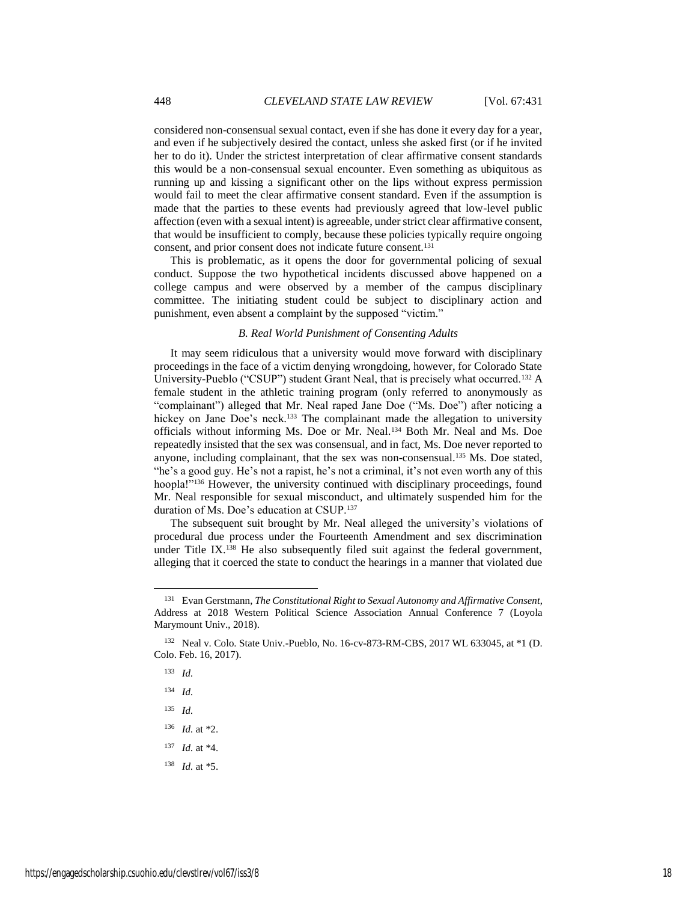considered non-consensual sexual contact, even if she has done it every day for a year, and even if he subjectively desired the contact, unless she asked first (or if he invited her to do it). Under the strictest interpretation of clear affirmative consent standards this would be a non-consensual sexual encounter. Even something as ubiquitous as running up and kissing a significant other on the lips without express permission would fail to meet the clear affirmative consent standard. Even if the assumption is made that the parties to these events had previously agreed that low-level public affection (even with a sexual intent) is agreeable, under strict clear affirmative consent, that would be insufficient to comply, because these policies typically require ongoing consent, and prior consent does not indicate future consent.<sup>131</sup>

This is problematic, as it opens the door for governmental policing of sexual conduct. Suppose the two hypothetical incidents discussed above happened on a college campus and were observed by a member of the campus disciplinary committee. The initiating student could be subject to disciplinary action and punishment, even absent a complaint by the supposed "victim."

#### *B. Real World Punishment of Consenting Adults*

It may seem ridiculous that a university would move forward with disciplinary proceedings in the face of a victim denying wrongdoing, however, for Colorado State University-Pueblo ("CSUP") student Grant Neal, that is precisely what occurred.<sup>132</sup> A female student in the athletic training program (only referred to anonymously as "complainant") alleged that Mr. Neal raped Jane Doe ("Ms. Doe") after noticing a hickey on Jane Doe's neck.<sup>133</sup> The complainant made the allegation to university officials without informing Ms. Doe or Mr. Neal.<sup>134</sup> Both Mr. Neal and Ms. Doe repeatedly insisted that the sex was consensual, and in fact, Ms. Doe never reported to anyone, including complainant, that the sex was non-consensual.<sup>135</sup> Ms. Doe stated, "he's a good guy. He's not a rapist, he's not a criminal, it's not even worth any of this hoopla!"<sup>136</sup> However, the university continued with disciplinary proceedings, found Mr. Neal responsible for sexual misconduct, and ultimately suspended him for the duration of Ms. Doe's education at CSUP.<sup>137</sup>

The subsequent suit brought by Mr. Neal alleged the university's violations of procedural due process under the Fourteenth Amendment and sex discrimination under Title IX.<sup>138</sup> He also subsequently filed suit against the federal government, alleging that it coerced the state to conduct the hearings in a manner that violated due

<sup>133</sup> *Id.*

- <sup>134</sup> *Id.*
- <sup>135</sup> *Id.*
- <sup>136</sup> *Id.* at \*2.
- <sup>137</sup> *Id.* at \*4.
- <sup>138</sup> *Id.* at \*5.

<sup>131</sup> Evan Gerstmann, *The Constitutional Right to Sexual Autonomy and Affirmative Consent*, Address at 2018 Western Political Science Association Annual Conference 7 (Loyola Marymount Univ., 2018).

<sup>132</sup> Neal v. Colo. State Univ.-Pueblo, No. 16-cv-873-RM-CBS, 2017 WL 633045, at \*1 (D. Colo. Feb. 16, 2017).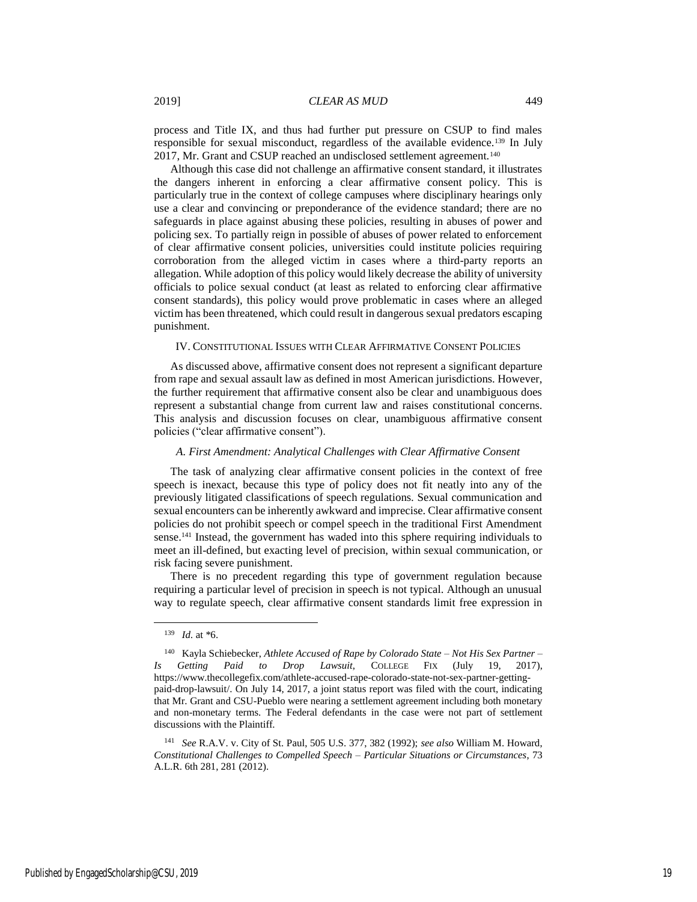process and Title IX, and thus had further put pressure on CSUP to find males responsible for sexual misconduct, regardless of the available evidence.<sup>139</sup> In July 2017, Mr. Grant and CSUP reached an undisclosed settlement agreement.<sup>140</sup>

Although this case did not challenge an affirmative consent standard, it illustrates the dangers inherent in enforcing a clear affirmative consent policy. This is particularly true in the context of college campuses where disciplinary hearings only use a clear and convincing or preponderance of the evidence standard; there are no safeguards in place against abusing these policies, resulting in abuses of power and policing sex. To partially reign in possible of abuses of power related to enforcement of clear affirmative consent policies, universities could institute policies requiring corroboration from the alleged victim in cases where a third-party reports an allegation. While adoption of this policy would likely decrease the ability of university officials to police sexual conduct (at least as related to enforcing clear affirmative consent standards), this policy would prove problematic in cases where an alleged victim has been threatened, which could result in dangerous sexual predators escaping punishment.

#### IV. CONSTITUTIONAL ISSUES WITH CLEAR AFFIRMATIVE CONSENT POLICIES

As discussed above, affirmative consent does not represent a significant departure from rape and sexual assault law as defined in most American jurisdictions. However, the further requirement that affirmative consent also be clear and unambiguous does represent a substantial change from current law and raises constitutional concerns. This analysis and discussion focuses on clear, unambiguous affirmative consent policies ("clear affirmative consent").

#### *A. First Amendment: Analytical Challenges with Clear Affirmative Consent*

The task of analyzing clear affirmative consent policies in the context of free speech is inexact, because this type of policy does not fit neatly into any of the previously litigated classifications of speech regulations. Sexual communication and sexual encounters can be inherently awkward and imprecise. Clear affirmative consent policies do not prohibit speech or compel speech in the traditional First Amendment sense.<sup>141</sup> Instead, the government has waded into this sphere requiring individuals to meet an ill-defined, but exacting level of precision, within sexual communication, or risk facing severe punishment.

There is no precedent regarding this type of government regulation because requiring a particular level of precision in speech is not typical. Although an unusual way to regulate speech, clear affirmative consent standards limit free expression in

<sup>139</sup> *Id.* at \*6.

<sup>140</sup> Kayla Schiebecker, *Athlete Accused of Rape by Colorado State – Not His Sex Partner – Is Getting Paid to Drop Lawsuit*, COLLEGE FIX (July 19, 2017), https://www.thecollegefix.com/athlete-accused-rape-colorado-state-not-sex-partner-gettingpaid-drop-lawsuit/. On July 14, 2017, a joint status report was filed with the court, indicating that Mr. Grant and CSU-Pueblo were nearing a settlement agreement including both monetary and non-monetary terms. The Federal defendants in the case were not part of settlement discussions with the Plaintiff.

<sup>141</sup> *See* R.A.V. v. City of St. Paul, 505 U.S. 377, 382 (1992); *see also* William M. Howard, *Constitutional Challenges to Compelled Speech – Particular Situations or Circumstances*, 73 A.L.R. 6th 281, 281 (2012).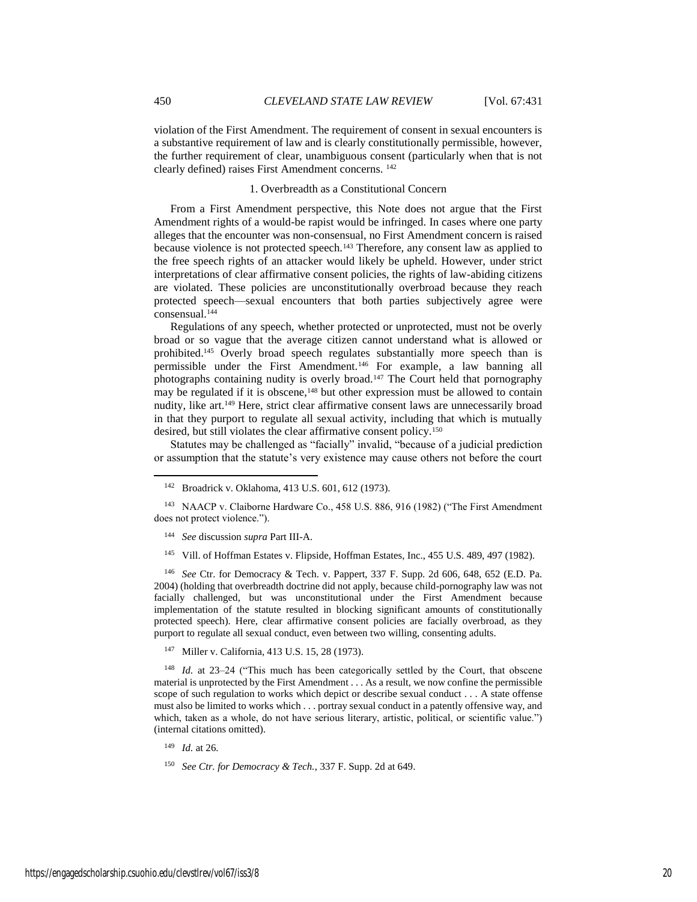violation of the First Amendment. The requirement of consent in sexual encounters is a substantive requirement of law and is clearly constitutionally permissible, however, the further requirement of clear, unambiguous consent (particularly when that is not clearly defined) raises First Amendment concerns. <sup>142</sup>

#### 1. Overbreadth as a Constitutional Concern

From a First Amendment perspective, this Note does not argue that the First Amendment rights of a would-be rapist would be infringed. In cases where one party alleges that the encounter was non-consensual, no First Amendment concern is raised because violence is not protected speech.<sup>143</sup> Therefore, any consent law as applied to the free speech rights of an attacker would likely be upheld. However, under strict interpretations of clear affirmative consent policies, the rights of law-abiding citizens are violated. These policies are unconstitutionally overbroad because they reach protected speech—sexual encounters that both parties subjectively agree were consensual.<sup>144</sup>

Regulations of any speech, whether protected or unprotected, must not be overly broad or so vague that the average citizen cannot understand what is allowed or prohibited.<sup>145</sup> Overly broad speech regulates substantially more speech than is permissible under the First Amendment.<sup>146</sup> For example, a law banning all photographs containing nudity is overly broad.<sup>147</sup> The Court held that pornography may be regulated if it is obscene,<sup>148</sup> but other expression must be allowed to contain nudity, like art.<sup>149</sup> Here, strict clear affirmative consent laws are unnecessarily broad in that they purport to regulate all sexual activity, including that which is mutually desired, but still violates the clear affirmative consent policy.<sup>150</sup>

Statutes may be challenged as "facially" invalid, "because of a judicial prediction or assumption that the statute's very existence may cause others not before the court

- <sup>144</sup> *See* discussion *supra* Part III-A.
- <sup>145</sup> Vill. of Hoffman Estates v. Flipside, Hoffman Estates, Inc., 455 U.S. 489, 497 (1982).

<sup>146</sup> *See* Ctr. for Democracy & Tech. v. Pappert, 337 F. Supp. 2d 606, 648, 652 (E.D. Pa. 2004) (holding that overbreadth doctrine did not apply, because child-pornography law was not facially challenged, but was unconstitutional under the First Amendment because implementation of the statute resulted in blocking significant amounts of constitutionally protected speech). Here, clear affirmative consent policies are facially overbroad, as they purport to regulate all sexual conduct, even between two willing, consenting adults.

<sup>147</sup> Miller v. California, 413 U.S. 15, 28 (1973).

<sup>148</sup> *Id.* at 23–24 ("This much has been categorically settled by the Court, that obscene material is unprotected by the First Amendment . . . As a result, we now confine the permissible scope of such regulation to works which depict or describe sexual conduct . . . A state offense must also be limited to works which . . . portray sexual conduct in a patently offensive way, and which, taken as a whole, do not have serious literary, artistic, political, or scientific value.") (internal citations omitted).

<sup>149</sup> *Id.* at 26.

<sup>150</sup> *See Ctr. for Democracy & Tech.*, 337 F. Supp. 2d at 649.

<sup>142</sup> Broadrick v. Oklahoma, 413 U.S. 601, 612 (1973).

<sup>143</sup> NAACP v. Claiborne Hardware Co., 458 U.S. 886, 916 (1982) ("The First Amendment does not protect violence.").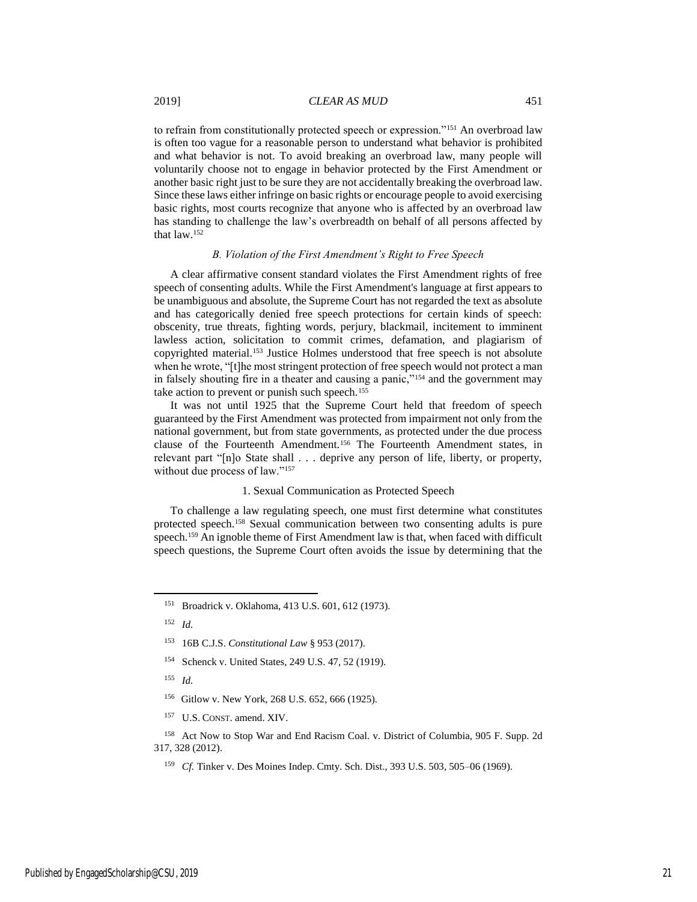to refrain from constitutionally protected speech or expression."<sup>151</sup> An overbroad law is often too vague for a reasonable person to understand what behavior is prohibited and what behavior is not. To avoid breaking an overbroad law, many people will voluntarily choose not to engage in behavior protected by the First Amendment or another basic right just to be sure they are not accidentally breaking the overbroad law. Since these laws either infringe on basic rights or encourage people to avoid exercising basic rights, most courts recognize that anyone who is affected by an overbroad law has standing to challenge the law's overbreadth on behalf of all persons affected by that law.<sup>152</sup>

#### *B. Violation of the First Amendment's Right to Free Speech*

A clear affirmative consent standard violates the First Amendment rights of free speech of consenting adults. While the First Amendment's language at first appears to be unambiguous and absolute, the Supreme Court has not regarded the text as absolute and has categorically denied free speech protections for certain kinds of speech: obscenity, true threats, fighting words, perjury, blackmail, incitement to imminent lawless action, solicitation to commit crimes, defamation, and plagiarism of copyrighted material.<sup>153</sup> Justice Holmes understood that free speech is not absolute when he wrote, "[t]he most stringent protection of free speech would not protect a man in falsely shouting fire in a theater and causing a panic,"<sup>154</sup> and the government may take action to prevent or punish such speech.<sup>155</sup>

It was not until 1925 that the Supreme Court held that freedom of speech guaranteed by the First Amendment was protected from impairment not only from the national government, but from state governments, as protected under the due process clause of the Fourteenth Amendment.<sup>156</sup> The Fourteenth Amendment states, in relevant part "[n]o State shall . . . deprive any person of life, liberty, or property, without due process of law."<sup>157</sup>

#### 1. Sexual Communication as Protected Speech

To challenge a law regulating speech, one must first determine what constitutes protected speech.<sup>158</sup> Sexual communication between two consenting adults is pure speech.<sup>159</sup> An ignoble theme of First Amendment law is that, when faced with difficult speech questions, the Supreme Court often avoids the issue by determining that the

<sup>152</sup> *Id.*

 $\overline{\phantom{a}}$ 

<sup>154</sup> Schenck v. United States, 249 U.S. 47, 52 (1919).

<sup>155</sup> *Id.*

- <sup>156</sup> Gitlow v. New York, 268 U.S. 652, 666 (1925).
- <sup>157</sup> U.S. CONST. amend. XIV.

<sup>158</sup> Act Now to Stop War and End Racism Coal. v. District of Columbia, 905 F. Supp. 2d 317, 328 (2012).

<sup>159</sup> *Cf.* Tinker v. Des Moines Indep. Cmty. Sch. Dist., 393 U.S. 503, 505–06 (1969).

<sup>151</sup> Broadrick v. Oklahoma, 413 U.S. 601, 612 (1973).

<sup>153</sup> 16B C.J.S. *Constitutional Law* § 953 (2017).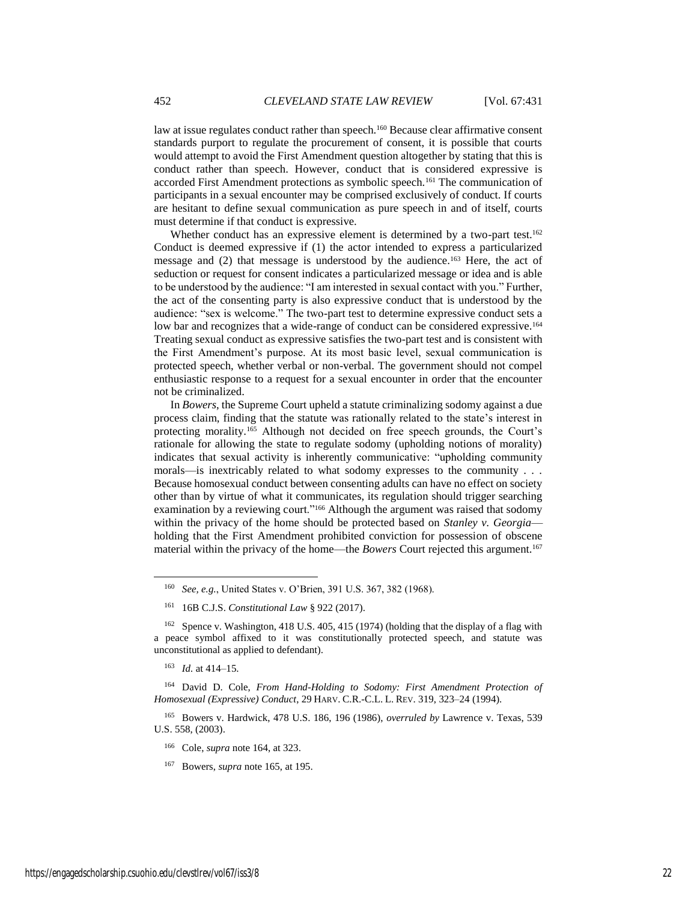law at issue regulates conduct rather than speech.<sup>160</sup> Because clear affirmative consent standards purport to regulate the procurement of consent, it is possible that courts would attempt to avoid the First Amendment question altogether by stating that this is conduct rather than speech. However, conduct that is considered expressive is accorded First Amendment protections as symbolic speech.<sup>161</sup> The communication of participants in a sexual encounter may be comprised exclusively of conduct. If courts are hesitant to define sexual communication as pure speech in and of itself, courts must determine if that conduct is expressive.

Whether conduct has an expressive element is determined by a two-part test.<sup>162</sup> Conduct is deemed expressive if (1) the actor intended to express a particularized message and (2) that message is understood by the audience.<sup>163</sup> Here, the act of seduction or request for consent indicates a particularized message or idea and is able to be understood by the audience: "I am interested in sexual contact with you." Further, the act of the consenting party is also expressive conduct that is understood by the audience: "sex is welcome." The two-part test to determine expressive conduct sets a low bar and recognizes that a wide-range of conduct can be considered expressive.<sup>164</sup> Treating sexual conduct as expressive satisfies the two-part test and is consistent with the First Amendment's purpose. At its most basic level, sexual communication is protected speech, whether verbal or non-verbal. The government should not compel enthusiastic response to a request for a sexual encounter in order that the encounter not be criminalized.

In *Bowers*, the Supreme Court upheld a statute criminalizing sodomy against a due process claim, finding that the statute was rationally related to the state's interest in protecting morality.<sup>165</sup> Although not decided on free speech grounds, the Court's rationale for allowing the state to regulate sodomy (upholding notions of morality) indicates that sexual activity is inherently communicative: "upholding community morals—is inextricably related to what sodomy expresses to the community . . . Because homosexual conduct between consenting adults can have no effect on society other than by virtue of what it communicates, its regulation should trigger searching examination by a reviewing court."<sup>166</sup> Although the argument was raised that sodomy within the privacy of the home should be protected based on *Stanley v. Georgia* holding that the First Amendment prohibited conviction for possession of obscene material within the privacy of the home—the *Bowers* Court rejected this argument.<sup>167</sup>

<sup>163</sup> *Id.* at 414–15.

l

<sup>164</sup> David D. Cole, *From Hand-Holding to Sodomy: First Amendment Protection of Homosexual (Expressive) Conduct*, 29 HARV. C.R.-C.L. L. REV. 319, 323–24 (1994).

<sup>165</sup> Bowers v. Hardwick, 478 U.S. 186, 196 (1986), *overruled by* Lawrence v. Texas, 539 U.S. 558, (2003).

<sup>160</sup> *See, e.g.*, United States v. O'Brien, 391 U.S. 367, 382 (1968).

<sup>161</sup> 16B C.J.S. *Constitutional Law* § 922 (2017).

<sup>162</sup> Spence v. Washington, 418 U.S. 405, 415 (1974) (holding that the display of a flag with a peace symbol affixed to it was constitutionally protected speech, and statute was unconstitutional as applied to defendant).

<sup>166</sup> Cole, *supra* note 164, at 323.

<sup>167</sup> Bowers, *supra* note 165, at 195.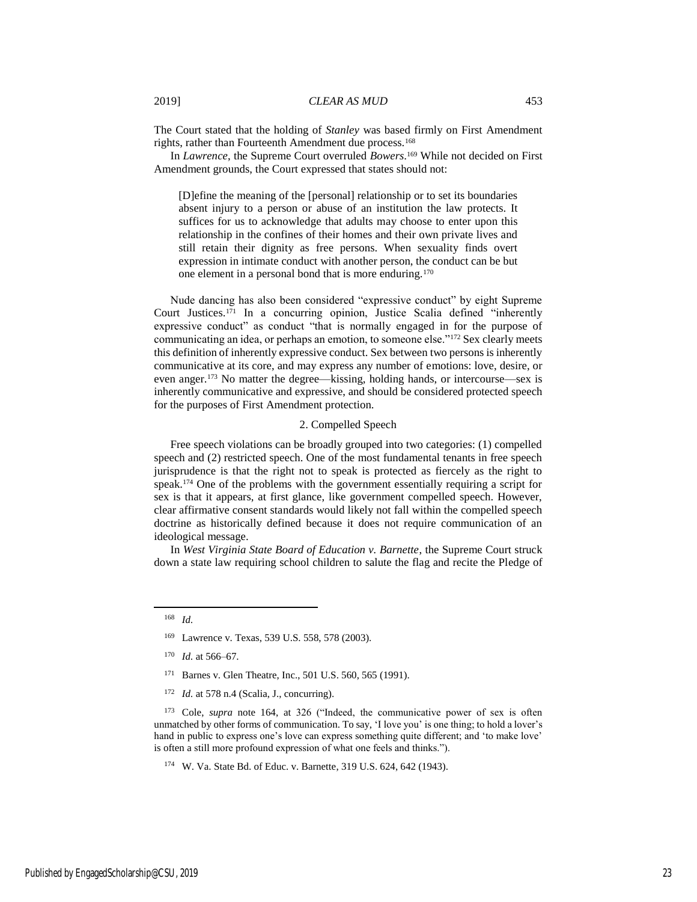The Court stated that the holding of *Stanley* was based firmly on First Amendment rights, rather than Fourteenth Amendment due process.<sup>168</sup>

In *Lawrence*, the Supreme Court overruled *Bowers*. <sup>169</sup> While not decided on First Amendment grounds, the Court expressed that states should not:

[D]efine the meaning of the [personal] relationship or to set its boundaries absent injury to a person or abuse of an institution the law protects. It suffices for us to acknowledge that adults may choose to enter upon this relationship in the confines of their homes and their own private lives and still retain their dignity as free persons. When sexuality finds overt expression in intimate conduct with another person, the conduct can be but one element in a personal bond that is more enduring.<sup>170</sup>

Nude dancing has also been considered "expressive conduct" by eight Supreme Court Justices.<sup>171</sup> In a concurring opinion, Justice Scalia defined "inherently expressive conduct" as conduct "that is normally engaged in for the purpose of communicating an idea, or perhaps an emotion, to someone else."<sup>172</sup> Sex clearly meets this definition of inherently expressive conduct. Sex between two persons is inherently communicative at its core, and may express any number of emotions: love, desire, or even anger.<sup>173</sup> No matter the degree—kissing, holding hands, or intercourse—sex is inherently communicative and expressive, and should be considered protected speech for the purposes of First Amendment protection.

#### 2. Compelled Speech

Free speech violations can be broadly grouped into two categories: (1) compelled speech and (2) restricted speech. One of the most fundamental tenants in free speech jurisprudence is that the right not to speak is protected as fiercely as the right to speak.<sup>174</sup> One of the problems with the government essentially requiring a script for sex is that it appears, at first glance, like government compelled speech. However, clear affirmative consent standards would likely not fall within the compelled speech doctrine as historically defined because it does not require communication of an ideological message.

In *West Virginia State Board of Education v. Barnette*, the Supreme Court struck down a state law requiring school children to salute the flag and recite the Pledge of

 $\overline{\phantom{a}}$ 

- <sup>171</sup> Barnes v. Glen Theatre, Inc., 501 U.S. 560, 565 (1991).
- <sup>172</sup> *Id.* at 578 n.4 (Scalia, J., concurring).

<sup>173</sup> Cole, *supra* note 164, at 326 ("Indeed, the communicative power of sex is often unmatched by other forms of communication. To say, 'I love you' is one thing; to hold a lover's hand in public to express one's love can express something quite different; and 'to make love' is often a still more profound expression of what one feels and thinks.").

<sup>174</sup> W. Va. State Bd. of Educ. v. Barnette, 319 U.S. 624, 642 (1943).

<sup>168</sup> *Id.*

<sup>169</sup> Lawrence v. Texas, 539 U.S. 558, 578 (2003).

<sup>170</sup> *Id.* at 566–67.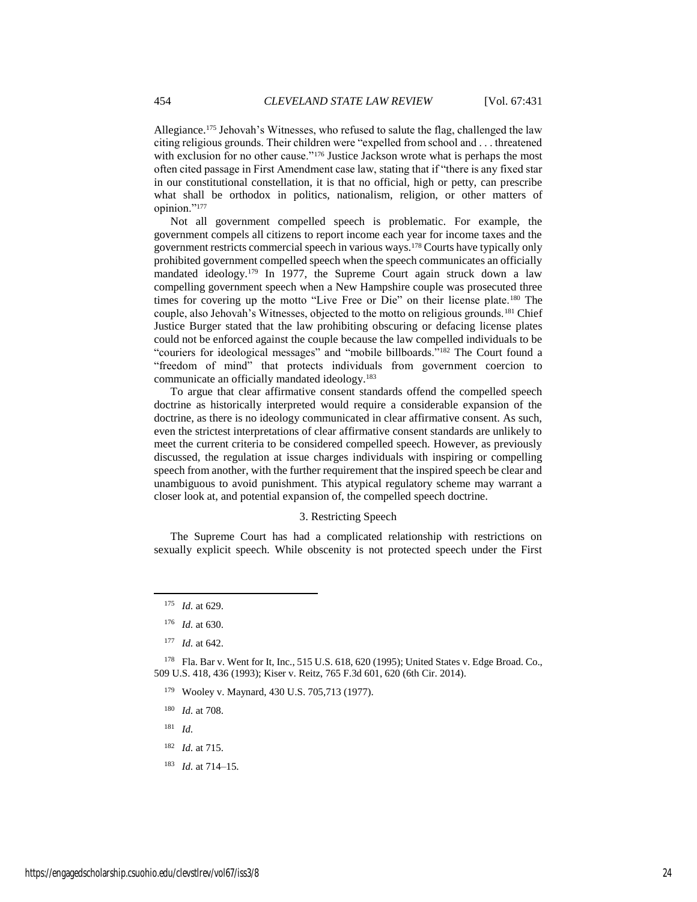Allegiance.<sup>175</sup> Jehovah's Witnesses, who refused to salute the flag, challenged the law citing religious grounds. Their children were "expelled from school and . . . threatened with exclusion for no other cause."<sup>176</sup> Justice Jackson wrote what is perhaps the most often cited passage in First Amendment case law, stating that if "there is any fixed star in our constitutional constellation, it is that no official, high or petty, can prescribe what shall be orthodox in politics, nationalism, religion, or other matters of opinion."<sup>177</sup>

Not all government compelled speech is problematic. For example, the government compels all citizens to report income each year for income taxes and the government restricts commercial speech in various ways.<sup>178</sup> Courts have typically only prohibited government compelled speech when the speech communicates an officially mandated ideology.<sup>179</sup> In 1977, the Supreme Court again struck down a law compelling government speech when a New Hampshire couple was prosecuted three times for covering up the motto "Live Free or Die" on their license plate.<sup>180</sup> The couple, also Jehovah's Witnesses, objected to the motto on religious grounds.<sup>181</sup> Chief Justice Burger stated that the law prohibiting obscuring or defacing license plates could not be enforced against the couple because the law compelled individuals to be "couriers for ideological messages" and "mobile billboards."<sup>182</sup> The Court found a "freedom of mind" that protects individuals from government coercion to communicate an officially mandated ideology.<sup>183</sup>

To argue that clear affirmative consent standards offend the compelled speech doctrine as historically interpreted would require a considerable expansion of the doctrine, as there is no ideology communicated in clear affirmative consent. As such, even the strictest interpretations of clear affirmative consent standards are unlikely to meet the current criteria to be considered compelled speech. However, as previously discussed, the regulation at issue charges individuals with inspiring or compelling speech from another, with the further requirement that the inspired speech be clear and unambiguous to avoid punishment. This atypical regulatory scheme may warrant a closer look at, and potential expansion of, the compelled speech doctrine.

#### 3. Restricting Speech

The Supreme Court has had a complicated relationship with restrictions on sexually explicit speech. While obscenity is not protected speech under the First

 $\overline{\phantom{a}}$ 

<sup>178</sup> Fla. Bar v. Went for It, Inc., 515 U.S. 618, 620 (1995); United States v. Edge Broad. Co., 509 U.S. 418, 436 (1993); Kiser v. Reitz, 765 F.3d 601, 620 (6th Cir. 2014).

- <sup>179</sup> Wooley v. Maynard, 430 U.S. 705,713 (1977).
- <sup>180</sup> *Id.* at 708.
- <sup>181</sup> *Id.*
- <sup>182</sup> *Id.* at 715.
- <sup>183</sup> *Id.* at 714–15.

<sup>175</sup> *Id.* at 629.

<sup>176</sup> *Id.* at 630.

<sup>177</sup> *Id.* at 642.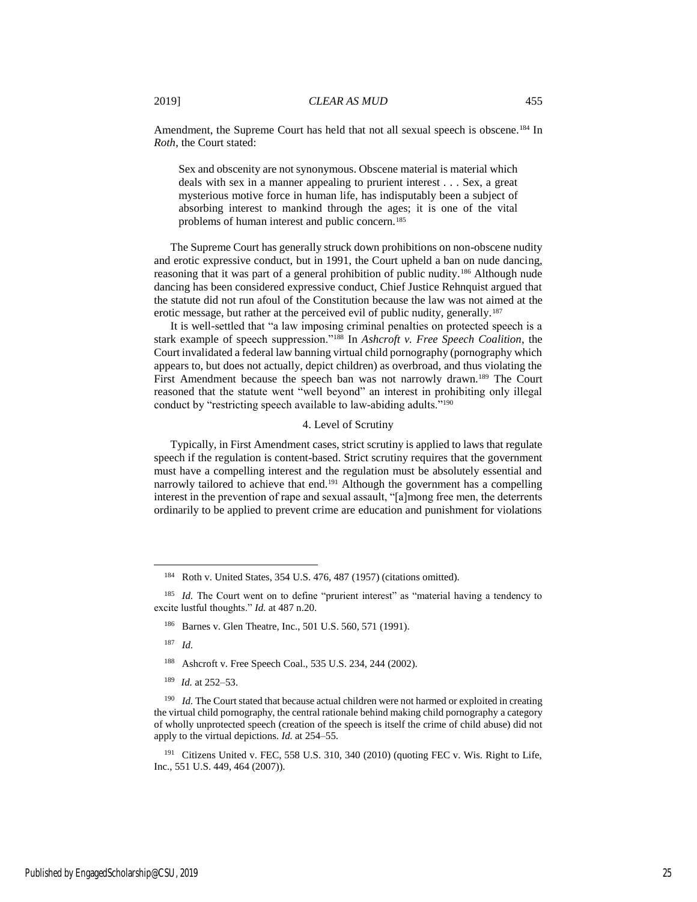Amendment, the Supreme Court has held that not all sexual speech is obscene.<sup>184</sup> In *Roth*, the Court stated:

Sex and obscenity are not synonymous. Obscene material is material which deals with sex in a manner appealing to prurient interest . . . Sex, a great mysterious motive force in human life, has indisputably been a subject of absorbing interest to mankind through the ages; it is one of the vital problems of human interest and public concern.<sup>185</sup>

The Supreme Court has generally struck down prohibitions on non-obscene nudity and erotic expressive conduct, but in 1991, the Court upheld a ban on nude dancing, reasoning that it was part of a general prohibition of public nudity.<sup>186</sup> Although nude dancing has been considered expressive conduct, Chief Justice Rehnquist argued that the statute did not run afoul of the Constitution because the law was not aimed at the erotic message, but rather at the perceived evil of public nudity, generally.<sup>187</sup>

It is well-settled that "a law imposing criminal penalties on protected speech is a stark example of speech suppression."<sup>188</sup> In *Ashcroft v. Free Speech Coalition*, the Court invalidated a federal law banning virtual child pornography (pornography which appears to, but does not actually, depict children) as overbroad, and thus violating the First Amendment because the speech ban was not narrowly drawn.<sup>189</sup> The Court reasoned that the statute went "well beyond" an interest in prohibiting only illegal conduct by "restricting speech available to law-abiding adults."<sup>190</sup>

#### 4. Level of Scrutiny

Typically, in First Amendment cases, strict scrutiny is applied to laws that regulate speech if the regulation is content-based. Strict scrutiny requires that the government must have a compelling interest and the regulation must be absolutely essential and narrowly tailored to achieve that end.<sup>191</sup> Although the government has a compelling interest in the prevention of rape and sexual assault, "[a]mong free men, the deterrents ordinarily to be applied to prevent crime are education and punishment for violations

<sup>186</sup> Barnes v. Glen Theatre, Inc., 501 U.S. 560, 571 (1991).

<sup>187</sup> *Id.*

 $\overline{\phantom{a}}$ 

- <sup>188</sup> Ashcroft v. Free Speech Coal., 535 U.S. 234, 244 (2002).
- <sup>189</sup> *Id.* at 252–53.

<sup>191</sup> Citizens United v. FEC, 558 U.S. 310, 340 (2010) (quoting FEC v. Wis. Right to Life, Inc., 551 U.S. 449, 464 (2007)).

<sup>184</sup> Roth v. United States, 354 U.S. 476, 487 (1957) (citations omitted).

<sup>&</sup>lt;sup>185</sup> *Id.* The Court went on to define "prurient interest" as "material having a tendency to excite lustful thoughts." *Id.* at 487 n.20.

<sup>&</sup>lt;sup>190</sup> *Id.* The Court stated that because actual children were not harmed or exploited in creating the virtual child pornography, the central rationale behind making child pornography a category of wholly unprotected speech (creation of the speech is itself the crime of child abuse) did not apply to the virtual depictions. *Id.* at 254–55.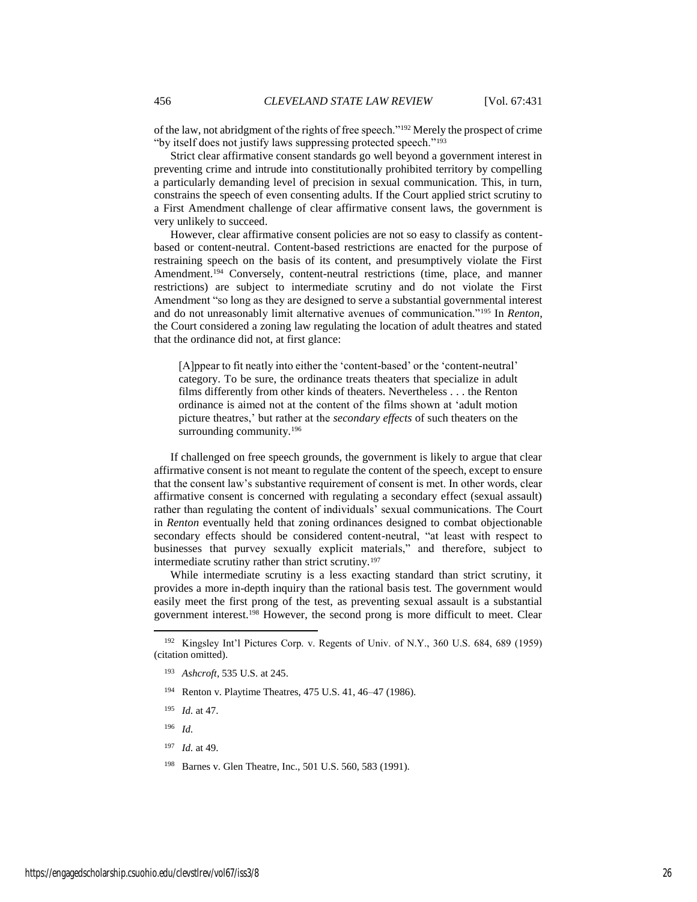of the law, not abridgment of the rights of free speech."<sup>192</sup> Merely the prospect of crime "by itself does not justify laws suppressing protected speech."<sup>193</sup>

Strict clear affirmative consent standards go well beyond a government interest in preventing crime and intrude into constitutionally prohibited territory by compelling a particularly demanding level of precision in sexual communication. This, in turn, constrains the speech of even consenting adults. If the Court applied strict scrutiny to a First Amendment challenge of clear affirmative consent laws, the government is very unlikely to succeed.

However, clear affirmative consent policies are not so easy to classify as contentbased or content-neutral. Content-based restrictions are enacted for the purpose of restraining speech on the basis of its content, and presumptively violate the First Amendment.<sup>194</sup> Conversely, content-neutral restrictions (time, place, and manner restrictions) are subject to intermediate scrutiny and do not violate the First Amendment "so long as they are designed to serve a substantial governmental interest and do not unreasonably limit alternative avenues of communication."<sup>195</sup> In *Renton*, the Court considered a zoning law regulating the location of adult theatres and stated that the ordinance did not, at first glance:

[A]ppear to fit neatly into either the 'content-based' or the 'content-neutral' category. To be sure, the ordinance treats theaters that specialize in adult films differently from other kinds of theaters. Nevertheless . . . the Renton ordinance is aimed not at the content of the films shown at 'adult motion picture theatres,' but rather at the *secondary effects* of such theaters on the surrounding community.<sup>196</sup>

If challenged on free speech grounds, the government is likely to argue that clear affirmative consent is not meant to regulate the content of the speech, except to ensure that the consent law's substantive requirement of consent is met. In other words, clear affirmative consent is concerned with regulating a secondary effect (sexual assault) rather than regulating the content of individuals' sexual communications. The Court in *Renton* eventually held that zoning ordinances designed to combat objectionable secondary effects should be considered content-neutral, "at least with respect to businesses that purvey sexually explicit materials," and therefore, subject to intermediate scrutiny rather than strict scrutiny.<sup>197</sup>

While intermediate scrutiny is a less exacting standard than strict scrutiny, it provides a more in-depth inquiry than the rational basis test. The government would easily meet the first prong of the test, as preventing sexual assault is a substantial government interest.<sup>198</sup> However, the second prong is more difficult to meet. Clear

- <sup>194</sup> Renton v. Playtime Theatres, 475 U.S. 41, 46–47 (1986).
- <sup>195</sup> *Id.* at 47.
- <sup>196</sup> *Id.*

- <sup>197</sup> *Id.* at 49.
- <sup>198</sup> Barnes v. Glen Theatre, Inc., 501 U.S. 560, 583 (1991).

<sup>192</sup> Kingsley Int'l Pictures Corp. v. Regents of Univ. of N.Y., 360 U.S. 684, 689 (1959) (citation omitted).

<sup>193</sup> *Ashcroft*, 535 U.S. at 245.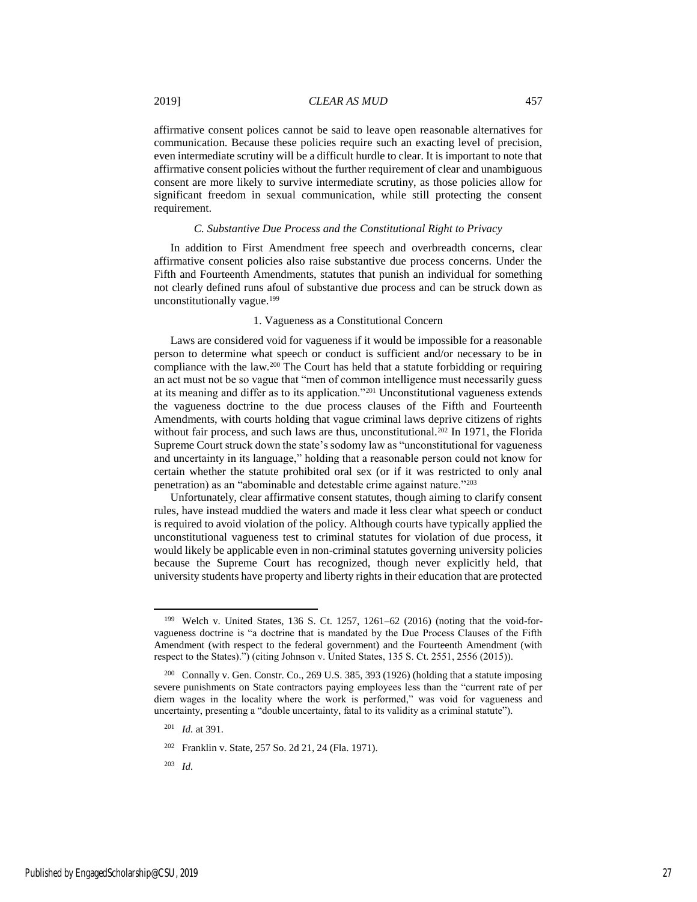affirmative consent polices cannot be said to leave open reasonable alternatives for communication. Because these policies require such an exacting level of precision, even intermediate scrutiny will be a difficult hurdle to clear. It is important to note that affirmative consent policies without the further requirement of clear and unambiguous consent are more likely to survive intermediate scrutiny, as those policies allow for significant freedom in sexual communication, while still protecting the consent requirement.

#### *C. Substantive Due Process and the Constitutional Right to Privacy*

In addition to First Amendment free speech and overbreadth concerns, clear affirmative consent policies also raise substantive due process concerns. Under the Fifth and Fourteenth Amendments, statutes that punish an individual for something not clearly defined runs afoul of substantive due process and can be struck down as unconstitutionally vague.<sup>199</sup>

#### 1. Vagueness as a Constitutional Concern

Laws are considered void for vagueness if it would be impossible for a reasonable person to determine what speech or conduct is sufficient and/or necessary to be in compliance with the law.<sup>200</sup> The Court has held that a statute forbidding or requiring an act must not be so vague that "men of common intelligence must necessarily guess at its meaning and differ as to its application."<sup>201</sup> Unconstitutional vagueness extends the vagueness doctrine to the due process clauses of the Fifth and Fourteenth Amendments, with courts holding that vague criminal laws deprive citizens of rights without fair process, and such laws are thus, unconstitutional.<sup>202</sup> In 1971, the Florida Supreme Court struck down the state's sodomy law as "unconstitutional for vagueness and uncertainty in its language," holding that a reasonable person could not know for certain whether the statute prohibited oral sex (or if it was restricted to only anal penetration) as an "abominable and detestable crime against nature."<sup>203</sup>

Unfortunately, clear affirmative consent statutes, though aiming to clarify consent rules, have instead muddied the waters and made it less clear what speech or conduct is required to avoid violation of the policy. Although courts have typically applied the unconstitutional vagueness test to criminal statutes for violation of due process, it would likely be applicable even in non-criminal statutes governing university policies because the Supreme Court has recognized, though never explicitly held, that university students have property and liberty rights in their education that are protected

<sup>199</sup> Welch v. United States, 136 S. Ct. 1257, 1261–62 (2016) (noting that the void-forvagueness doctrine is "a doctrine that is mandated by the Due Process Clauses of the Fifth Amendment (with respect to the federal government) and the Fourteenth Amendment (with respect to the States).") (citing Johnson v. United States, 135 S. Ct. 2551, 2556 (2015)).

<sup>200</sup> Connally v. Gen. Constr. Co., 269 U.S. 385, 393 (1926) (holding that a statute imposing severe punishments on State contractors paying employees less than the "current rate of per diem wages in the locality where the work is performed," was void for vagueness and uncertainty, presenting a "double uncertainty, fatal to its validity as a criminal statute").

<sup>201</sup> *Id.* at 391.

<sup>202</sup> Franklin v. State, 257 So. 2d 21, 24 (Fla. 1971).

<sup>203</sup> *Id.*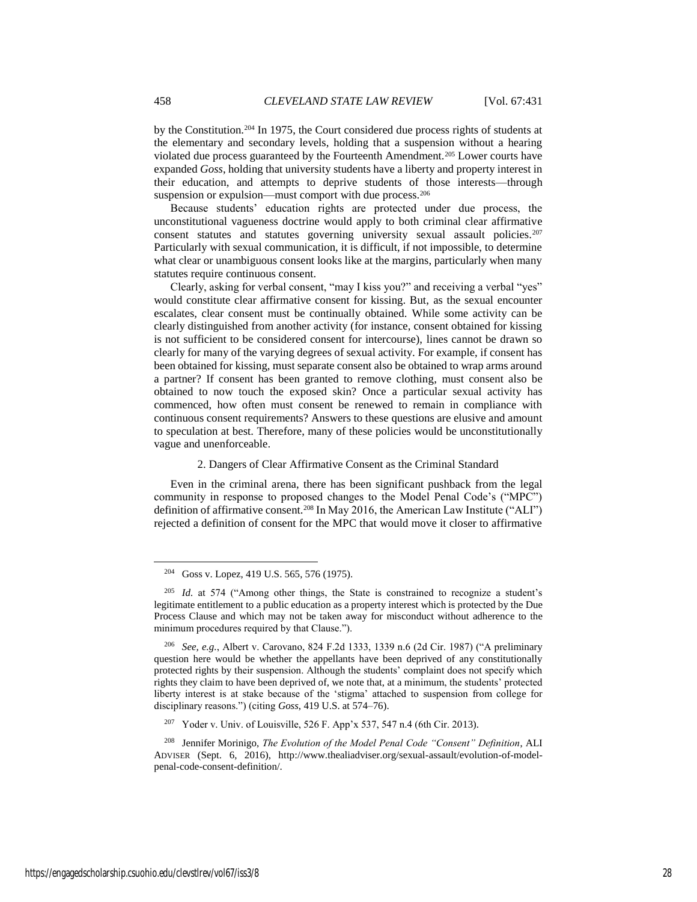by the Constitution.<sup>204</sup> In 1975, the Court considered due process rights of students at the elementary and secondary levels, holding that a suspension without a hearing violated due process guaranteed by the Fourteenth Amendment.<sup>205</sup> Lower courts have expanded *Goss*, holding that university students have a liberty and property interest in their education, and attempts to deprive students of those interests—through suspension or expulsion—must comport with due process.<sup>206</sup>

Because students' education rights are protected under due process, the unconstitutional vagueness doctrine would apply to both criminal clear affirmative consent statutes and statutes governing university sexual assault policies.<sup>207</sup> Particularly with sexual communication, it is difficult, if not impossible, to determine what clear or unambiguous consent looks like at the margins, particularly when many statutes require continuous consent.

Clearly, asking for verbal consent, "may I kiss you?" and receiving a verbal "yes" would constitute clear affirmative consent for kissing. But, as the sexual encounter escalates, clear consent must be continually obtained. While some activity can be clearly distinguished from another activity (for instance, consent obtained for kissing is not sufficient to be considered consent for intercourse), lines cannot be drawn so clearly for many of the varying degrees of sexual activity. For example, if consent has been obtained for kissing, must separate consent also be obtained to wrap arms around a partner? If consent has been granted to remove clothing, must consent also be obtained to now touch the exposed skin? Once a particular sexual activity has commenced, how often must consent be renewed to remain in compliance with continuous consent requirements? Answers to these questions are elusive and amount to speculation at best. Therefore, many of these policies would be unconstitutionally vague and unenforceable.

#### 2. Dangers of Clear Affirmative Consent as the Criminal Standard

Even in the criminal arena, there has been significant pushback from the legal community in response to proposed changes to the Model Penal Code's ("MPC") definition of affirmative consent.<sup>208</sup> In May 2016, the American Law Institute ("ALI") rejected a definition of consent for the MPC that would move it closer to affirmative

<sup>204</sup> Goss v. Lopez, 419 U.S. 565, 576 (1975).

<sup>205</sup> *Id.* at 574 ("Among other things, the State is constrained to recognize a student's legitimate entitlement to a public education as a property interest which is protected by the Due Process Clause and which may not be taken away for misconduct without adherence to the minimum procedures required by that Clause.").

<sup>206</sup> *See, e.g.*, Albert v. Carovano, 824 F.2d 1333, 1339 n.6 (2d Cir. 1987) ("A preliminary question here would be whether the appellants have been deprived of any constitutionally protected rights by their suspension. Although the students' complaint does not specify which rights they claim to have been deprived of, we note that, at a minimum, the students' protected liberty interest is at stake because of the 'stigma' attached to suspension from college for disciplinary reasons.") (citing *Goss*, 419 U.S. at 574–76).

<sup>207</sup> Yoder v. Univ. of Louisville, 526 F. App'x 537, 547 n.4 (6th Cir. 2013).

<sup>208</sup> Jennifer Morinigo, *The Evolution of the Model Penal Code "Consent" Definition*, ALI ADVISER (Sept. 6, 2016), http://www.thealiadviser.org/sexual-assault/evolution-of-modelpenal-code-consent-definition/.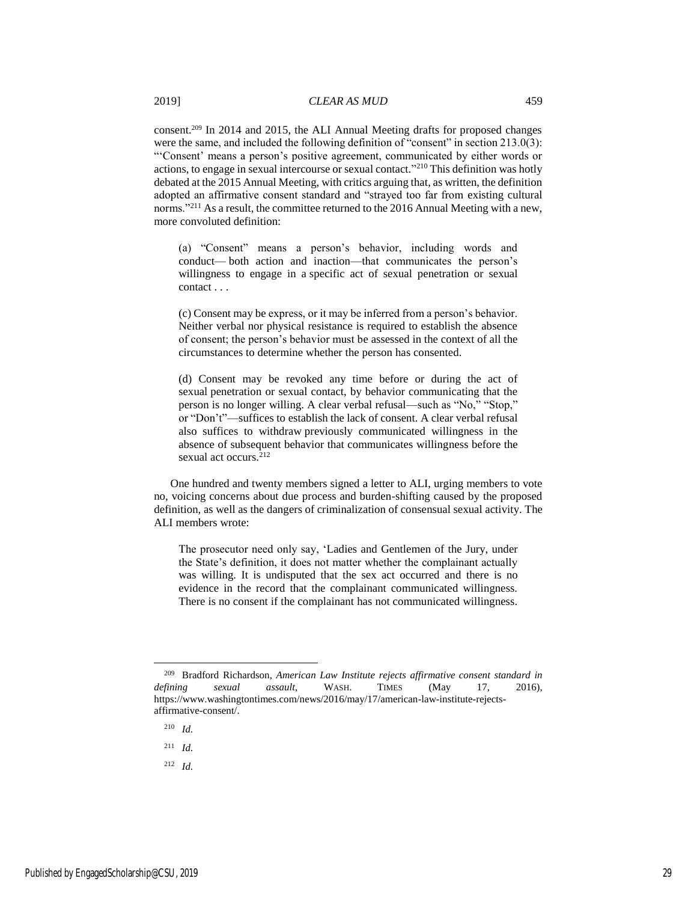consent.<sup>209</sup> In 2014 and 2015, the ALI Annual Meeting drafts for proposed changes were the same, and included the following definition of "consent" in section 213.0(3): "'Consent' means a person's positive agreement, communicated by either words or actions, to engage in sexual intercourse or sexual contact."<sup>210</sup> This definition was hotly debated at the 2015 Annual Meeting, with critics arguing that, as written, the definition adopted an affirmative consent standard and "strayed too far from existing cultural norms."<sup>211</sup> As a result, the committee returned to the 2016 Annual Meeting with a new, more convoluted definition:

(a) "Consent" means a person's behavior, including words and conduct— both action and inaction—that communicates the person's willingness to engage in a specific act of sexual penetration or sexual contact . . .

(c) Consent may be express, or it may be inferred from a person's behavior. Neither verbal nor physical resistance is required to establish the absence of consent; the person's behavior must be assessed in the context of all the circumstances to determine whether the person has consented.

(d) Consent may be revoked any time before or during the act of sexual penetration or sexual contact, by behavior communicating that the person is no longer willing. A clear verbal refusal—such as "No," "Stop," or "Don't"—suffices to establish the lack of consent. A clear verbal refusal also suffices to withdraw previously communicated willingness in the absence of subsequent behavior that communicates willingness before the sexual act occurs.<sup>212</sup>

One hundred and twenty members signed a letter to ALI, urging members to vote no, voicing concerns about due process and burden-shifting caused by the proposed definition, as well as the dangers of criminalization of consensual sexual activity. The ALI members wrote:

The prosecutor need only say, 'Ladies and Gentlemen of the Jury, under the State's definition, it does not matter whether the complainant actually was willing. It is undisputed that the sex act occurred and there is no evidence in the record that the complainant communicated willingness. There is no consent if the complainant has not communicated willingness.

<sup>210</sup> *Id.*

l

<sup>211</sup> *Id.*

<sup>212</sup> *Id.*

<sup>209</sup> Bradford Richardson, *American Law Institute rejects affirmative consent standard in defining sexual assault*, WASH. TIMES (May 17, 2016), https://www.washingtontimes.com/news/2016/may/17/american-law-institute-rejectsaffirmative-consent/.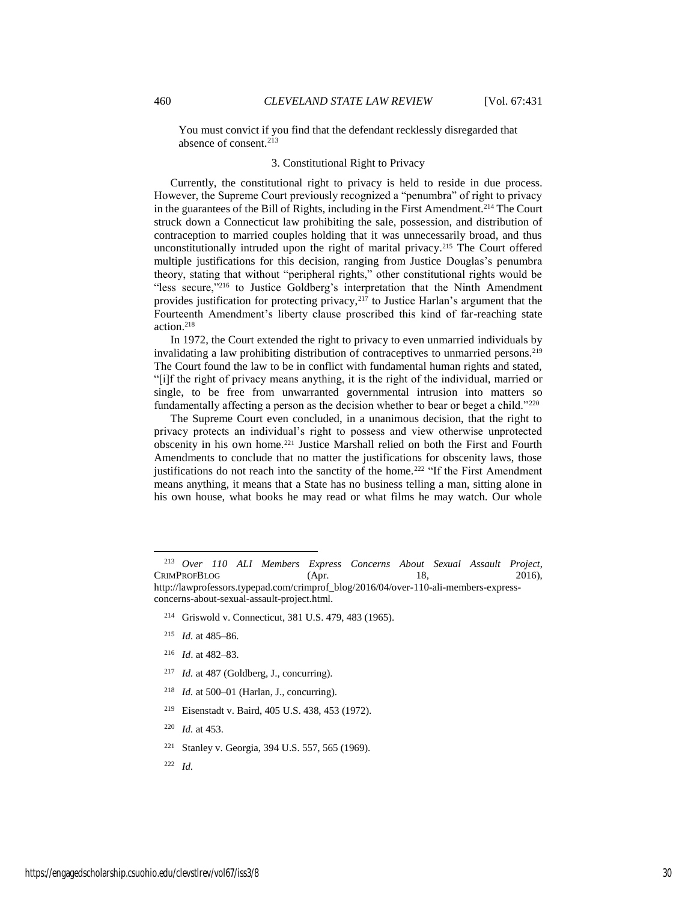You must convict if you find that the defendant recklessly disregarded that absence of consent.<sup>213</sup>

#### 3. Constitutional Right to Privacy

Currently, the constitutional right to privacy is held to reside in due process. However, the Supreme Court previously recognized a "penumbra" of right to privacy in the guarantees of the Bill of Rights, including in the First Amendment.<sup>214</sup> The Court struck down a Connecticut law prohibiting the sale, possession, and distribution of contraception to married couples holding that it was unnecessarily broad, and thus unconstitutionally intruded upon the right of marital privacy. <sup>215</sup> The Court offered multiple justifications for this decision, ranging from Justice Douglas's penumbra theory, stating that without "peripheral rights," other constitutional rights would be "less secure,"<sup>216</sup> to Justice Goldberg's interpretation that the Ninth Amendment provides justification for protecting privacy, $217$  to Justice Harlan's argument that the Fourteenth Amendment's liberty clause proscribed this kind of far-reaching state action.<sup>218</sup>

In 1972, the Court extended the right to privacy to even unmarried individuals by invalidating a law prohibiting distribution of contraceptives to unmarried persons.<sup>219</sup> The Court found the law to be in conflict with fundamental human rights and stated, "[i]f the right of privacy means anything, it is the right of the individual, married or single, to be free from unwarranted governmental intrusion into matters so fundamentally affecting a person as the decision whether to bear or beget a child."<sup>220</sup>

The Supreme Court even concluded, in a unanimous decision, that the right to privacy protects an individual's right to possess and view otherwise unprotected obscenity in his own home.<sup>221</sup> Justice Marshall relied on both the First and Fourth Amendments to conclude that no matter the justifications for obscenity laws, those justifications do not reach into the sanctity of the home.<sup>222</sup> "If the First Amendment means anything, it means that a State has no business telling a man, sitting alone in his own house, what books he may read or what films he may watch. Our whole

- <sup>214</sup> Griswold v. Connecticut, 381 U.S. 479, 483 (1965).
- <sup>215</sup> *Id.* at 485–86.
- <sup>216</sup> *Id*. at 482–83.

- <sup>217</sup> *Id.* at 487 (Goldberg, J., concurring).
- <sup>218</sup> *Id.* at 500–01 (Harlan, J., concurring).
- <sup>219</sup> Eisenstadt v. Baird, 405 U.S. 438, 453 (1972).
- <sup>220</sup> *Id.* at 453.
- <sup>221</sup> Stanley v. Georgia, 394 U.S. 557, 565 (1969).
- <sup>222</sup> *Id.*

<sup>213</sup> *Over 110 ALI Members Express Concerns About Sexual Assault Project*, CRIMPROFBLOG (Apr. 18, 2016), http://lawprofessors.typepad.com/crimprof\_blog/2016/04/over-110-ali-members-expressconcerns-about-sexual-assault-project.html.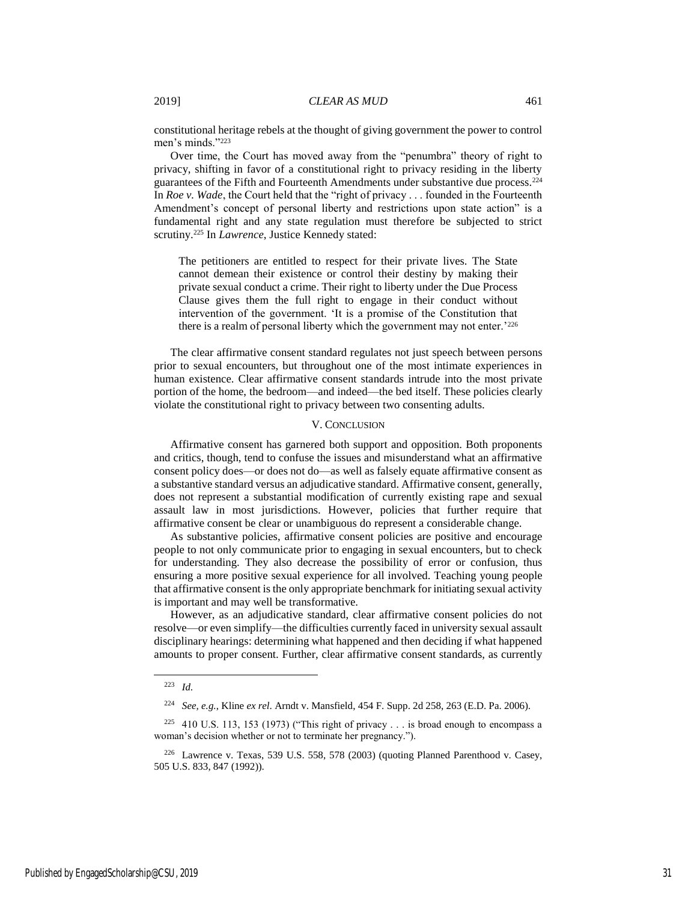constitutional heritage rebels at the thought of giving government the power to control men's minds."<sup>223</sup>

Over time, the Court has moved away from the "penumbra" theory of right to privacy, shifting in favor of a constitutional right to privacy residing in the liberty guarantees of the Fifth and Fourteenth Amendments under substantive due process.<sup>224</sup> In *Roe v. Wade*, the Court held that the "right of privacy . . . founded in the Fourteenth Amendment's concept of personal liberty and restrictions upon state action" is a fundamental right and any state regulation must therefore be subjected to strict scrutiny.<sup>225</sup> In *Lawrence*, Justice Kennedy stated:

The petitioners are entitled to respect for their private lives. The State cannot demean their existence or control their destiny by making their private sexual conduct a crime. Their right to liberty under the Due Process Clause gives them the full right to engage in their conduct without intervention of the government. 'It is a promise of the Constitution that there is a realm of personal liberty which the government may not enter.<sup>'226</sup>

The clear affirmative consent standard regulates not just speech between persons prior to sexual encounters, but throughout one of the most intimate experiences in human existence. Clear affirmative consent standards intrude into the most private portion of the home, the bedroom—and indeed—the bed itself. These policies clearly violate the constitutional right to privacy between two consenting adults.

#### V. CONCLUSION

Affirmative consent has garnered both support and opposition. Both proponents and critics, though, tend to confuse the issues and misunderstand what an affirmative consent policy does—or does not do—as well as falsely equate affirmative consent as a substantive standard versus an adjudicative standard. Affirmative consent, generally, does not represent a substantial modification of currently existing rape and sexual assault law in most jurisdictions. However, policies that further require that affirmative consent be clear or unambiguous do represent a considerable change.

As substantive policies, affirmative consent policies are positive and encourage people to not only communicate prior to engaging in sexual encounters, but to check for understanding. They also decrease the possibility of error or confusion, thus ensuring a more positive sexual experience for all involved. Teaching young people that affirmative consent is the only appropriate benchmark for initiating sexual activity is important and may well be transformative.

However, as an adjudicative standard, clear affirmative consent policies do not resolve—or even simplify—the difficulties currently faced in university sexual assault disciplinary hearings: determining what happened and then deciding if what happened amounts to proper consent. Further, clear affirmative consent standards, as currently

 $\overline{a}$ 

<sup>223</sup> *Id.*

<sup>224</sup> *See, e.g.*, Kline *ex rel*. Arndt v. Mansfield, 454 F. Supp. 2d 258, 263 (E.D. Pa. 2006).

<sup>&</sup>lt;sup>225</sup> 410 U.S. 113, 153 (1973) ("This right of privacy . . . is broad enough to encompass a woman's decision whether or not to terminate her pregnancy.").

 $226$  Lawrence v. Texas, 539 U.S. 558, 578 (2003) (quoting Planned Parenthood v. Casey, 505 U.S. 833, 847 (1992)).